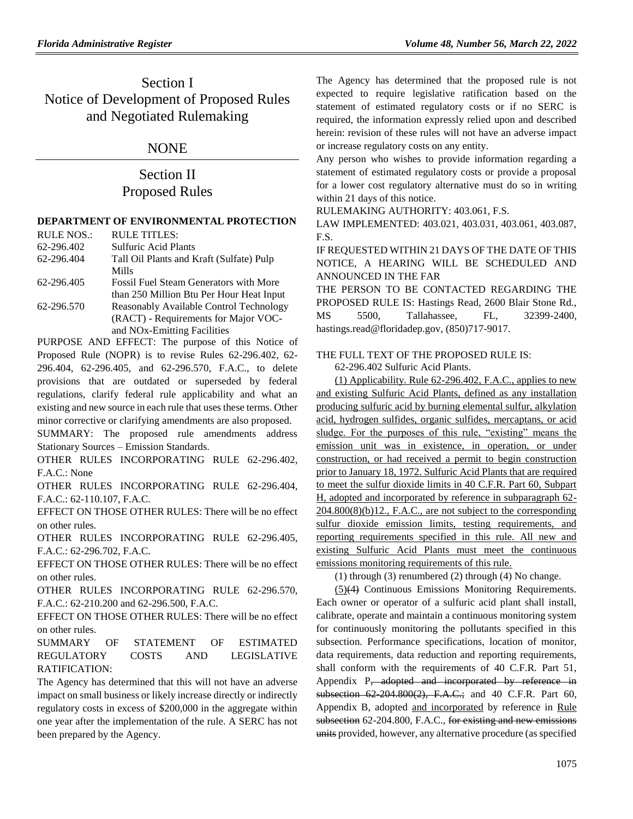## Section I Notice of Development of Proposed Rules and Negotiated Rulemaking

## NONE

## Section II Proposed Rules

### **[DEPARTMENT OF ENVIRONMENTAL PROTECTION](https://www.flrules.org/gateway/department.asp?id=62)**

| <b>RULE NOS.:</b> | <b>RULE TITLES:</b>                           |
|-------------------|-----------------------------------------------|
| 62-296.402        | <b>Sulfuric Acid Plants</b>                   |
| 62-296.404        | Tall Oil Plants and Kraft (Sulfate) Pulp      |
|                   | Mills                                         |
| 62-296.405        | <b>Fossil Fuel Steam Generators with More</b> |
|                   | than 250 Million Btu Per Hour Heat Input      |
| 62-296.570        | Reasonably Available Control Technology       |
|                   | (RACT) - Requirements for Major VOC-          |
|                   | and NO <sub>x</sub> -Emitting Facilities      |
|                   |                                               |

PURPOSE AND EFFECT: The purpose of this Notice of Proposed Rule (NOPR) is to revise Rules 62-296.402, 62- 296.404, 62-296.405, and 62-296.570, F.A.C., to delete provisions that are outdated or superseded by federal regulations, clarify federal rule applicability and what an existing and new source in each rule that uses these terms. Other minor corrective or clarifying amendments are also proposed.

SUMMARY: The proposed rule amendments address Stationary Sources – Emission Standards.

OTHER RULES INCORPORATING RULE 62-296.402, F.A.C.: None

OTHER RULES INCORPORATING RULE 62-296.404, F.A.C.: 62-110.107, F.A.C.

EFFECT ON THOSE OTHER RULES: There will be no effect on other rules.

OTHER RULES INCORPORATING RULE 62-296.405, F.A.C.: 62-296.702, F.A.C.

EFFECT ON THOSE OTHER RULES: There will be no effect on other rules.

OTHER RULES INCORPORATING RULE 62-296.570, F.A.C.: 62-210.200 and 62-296.500, F.A.C.

EFFECT ON THOSE OTHER RULES: There will be no effect on other rules.

SUMMARY OF STATEMENT OF ESTIMATED REGULATORY COSTS AND LEGISLATIVE RATIFICATION:

The Agency has determined that this will not have an adverse impact on small business or likely increase directly or indirectly regulatory costs in excess of \$200,000 in the aggregate within one year after the implementation of the rule. A SERC has not been prepared by the Agency.

The Agency has determined that the proposed rule is not expected to require legislative ratification based on the statement of estimated regulatory costs or if no SERC is required, the information expressly relied upon and described herein: revision of these rules will not have an adverse impact or increase regulatory costs on any entity.

Any person who wishes to provide information regarding a statement of estimated regulatory costs or provide a proposal for a lower cost regulatory alternative must do so in writing within 21 days of this notice.

RULEMAKING AUTHORITY: 403.061, F.S.

LAW IMPLEMENTED: 403.021, 403.031, 403.061, 403.087, F.S.

IF REQUESTED WITHIN 21 DAYS OF THE DATE OF THIS NOTICE, A HEARING WILL BE SCHEDULED AND ANNOUNCED IN THE FAR

THE PERSON TO BE CONTACTED REGARDING THE PROPOSED RULE IS: Hastings Read, 2600 Blair Stone Rd., MS 5500, Tallahassee, FL, 32399-2400, [hastings.read@floridadep.gov,](mailto:hastings.read@floridadep.gov) (850)717-9017.

### THE FULL TEXT OF THE PROPOSED RULE IS:

62-296.402 Sulfuric Acid Plants.

(1) Applicability. Rule 62-296.402, F.A.C., applies to new and existing Sulfuric Acid Plants, defined as any installation producing sulfuric acid by burning elemental sulfur, alkylation acid, hydrogen sulfides, organic sulfides, mercaptans, or acid sludge. For the purposes of this rule, "existing" means the emission unit was in existence, in operation, or under construction, or had received a permit to begin construction prior to January 18, 1972. Sulfuric Acid Plants that are required to meet the sulfur dioxide limits in 40 C.F.R. Part 60, Subpart H, adopted and incorporated by reference in subparagraph 62-  $204.800(8)(b)12$ ., F.A.C., are not subject to the corresponding sulfur dioxide emission limits, testing requirements, and reporting requirements specified in this rule. All new and existing Sulfuric Acid Plants must meet the continuous emissions monitoring requirements of this rule.

(1) through (3) renumbered (2) through (4) No change.

(5)(4) Continuous Emissions Monitoring Requirements. Each owner or operator of a sulfuric acid plant shall install, calibrate, operate and maintain a continuous monitoring system for continuously monitoring the pollutants specified in this subsection. Performance specifications, location of monitor, data requirements, data reduction and reporting requirements, shall conform with the requirements of 40 C.F.R. Part 51, Appendix P<sub>y</sub> adopted and incorporated by reference in subsection 62-204.800(2), F.A.C.; and 40 C.F.R. Part 60, Appendix B, adopted and incorporated by reference in Rule subsection 62-204.800, F.A.C., for existing and new emissions units provided, however, any alternative procedure (as specified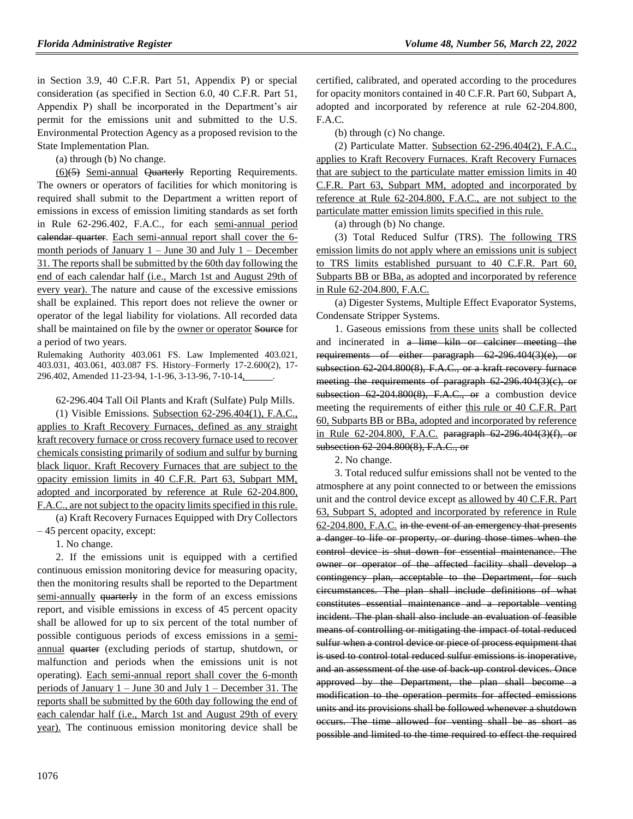in Section 3.9, 40 C.F.R. Part 51, Appendix P) or special consideration (as specified in Section 6.0, 40 C.F.R. Part 51, Appendix P) shall be incorporated in the Department's air permit for the emissions unit and submitted to the U.S. Environmental Protection Agency as a proposed revision to the State Implementation Plan.

(a) through (b) No change.

(6)(5) Semi-annual Quarterly Reporting Requirements. The owners or operators of facilities for which monitoring is required shall submit to the Department a written report of emissions in excess of emission limiting standards as set forth in Rule 62-296.402, F.A.C., for each semi-annual period calendar quarter. Each semi-annual report shall cover the 6 month periods of January  $1 -$  June 30 and July  $1 -$  December 31. The reports shall be submitted by the 60th day following the end of each calendar half (i.e., March 1st and August 29th of every year). The nature and cause of the excessive emissions shall be explained. This report does not relieve the owner or operator of the legal liability for violations. All recorded data shall be maintained on file by the owner or operator Source for a period of two years.

Rulemaking Authority 403.061 FS. Law Implemented 403.021, 403.031, 403.061, 403.087 FS. History–Formerly 17-2.600(2), 17- 296.402, Amended 11-23-94, 1-1-96, 3-13-96, 7-10-14,

62-296.404 Tall Oil Plants and Kraft (Sulfate) Pulp Mills.

(1) Visible Emissions. Subsection 62-296.404(1), F.A.C., applies to Kraft Recovery Furnaces, defined as any straight kraft recovery furnace or cross recovery furnace used to recover chemicals consisting primarily of sodium and sulfur by burning black liquor. Kraft Recovery Furnaces that are subject to the opacity emission limits in 40 C.F.R. Part 63, Subpart MM, adopted and incorporated by reference at Rule 62-204.800, F.A.C., are not subject to the opacity limits specified in this rule.

(a) Kraft Recovery Furnaces Equipped with Dry Collectors – 45 percent opacity, except:

1. No change.

2. If the emissions unit is equipped with a certified continuous emission monitoring device for measuring opacity, then the monitoring results shall be reported to the Department semi-annually quarterly in the form of an excess emissions report, and visible emissions in excess of 45 percent opacity shall be allowed for up to six percent of the total number of possible contiguous periods of excess emissions in a semiannual quarter (excluding periods of startup, shutdown, or malfunction and periods when the emissions unit is not operating). Each semi-annual report shall cover the 6-month periods of January 1 – June 30 and July 1 – December 31. The reports shall be submitted by the 60th day following the end of each calendar half (i.e., March 1st and August 29th of every year). The continuous emission monitoring device shall be

certified, calibrated, and operated according to the procedures for opacity monitors contained in 40 C.F.R. Part 60, Subpart A, adopted and incorporated by reference at rule 62-204.800, F.A.C.

(b) through (c) No change.

(2) Particulate Matter. Subsection 62-296.404(2), F.A.C., applies to Kraft Recovery Furnaces. Kraft Recovery Furnaces that are subject to the particulate matter emission limits in 40 C.F.R. Part 63, Subpart MM, adopted and incorporated by reference at Rule 62-204.800, F.A.C., are not subject to the particulate matter emission limits specified in this rule.

(a) through (b) No change.

(3) Total Reduced Sulfur (TRS). The following TRS emission limits do not apply where an emissions unit is subject to TRS limits established pursuant to 40 C.F.R. Part 60, Subparts BB or BBa, as adopted and incorporated by reference in Rule 62-204.800, F.A.C.

(a) Digester Systems, Multiple Effect Evaporator Systems, Condensate Stripper Systems.

1. Gaseous emissions from these units shall be collected and incinerated in a lime kiln or calciner meeting the requirements of either paragraph 62-296.404(3)(e), or subsection 62-204.800(8), F.A.C., or a kraft recovery furnace meeting the requirements of paragraph 62-296.404(3)(c), or subsection  $62\,204.800(8)$ , F.A.C., or a combustion device meeting the requirements of either this rule or 40 C.F.R. Part 60, Subparts BB or BBa, adopted and incorporated by reference in Rule 62-204.800, F.A.C. paragraph 62-296.404(3)(f), or subsection 62-204.800(8), F.A.C., or

2. No change.

3. Total reduced sulfur emissions shall not be vented to the atmosphere at any point connected to or between the emissions unit and the control device except as allowed by 40 C.F.R. Part 63, Subpart S, adopted and incorporated by reference in Rule 62-204.800, F.A.C. in the event of an emergency that presents a danger to life or property, or during those times when the control device is shut down for essential maintenance. The owner or operator of the affected facility shall develop a contingency plan, acceptable to the Department, for such circumstances. The plan shall include definitions of what constitutes essential maintenance and a reportable venting incident. The plan shall also include an evaluation of feasible means of controlling or mitigating the impact of total reduced sulfur when a control device or piece of process equipment that is used to control total reduced sulfur emissions is inoperative, and an assessment of the use of back up control devices. Once approved by the Department, the plan shall become a modification to the operation permits for affected emissions units and its provisions shall be followed whenever a shutdown occurs. The time allowed for venting shall be as short as possible and limited to the time required to effect the required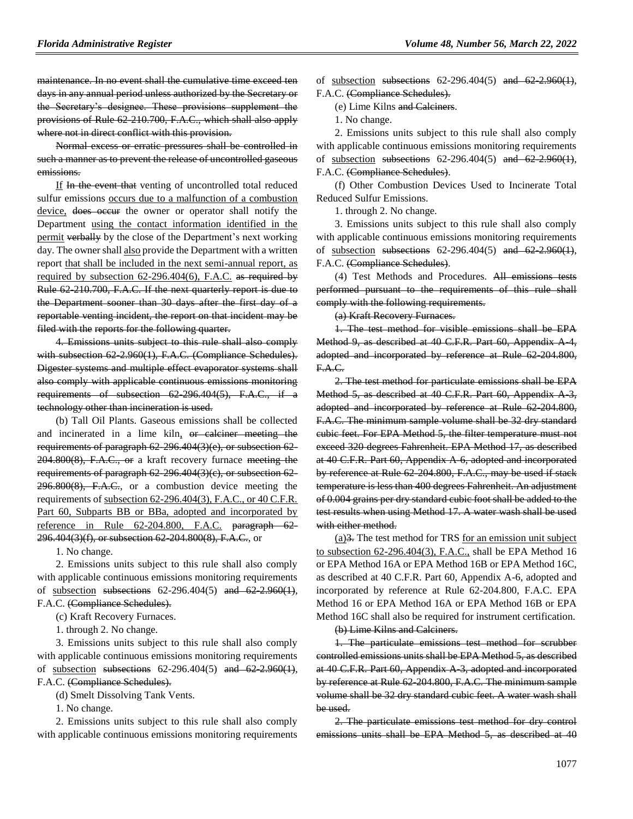maintenance. In no event shall the cumulative time exceed ten days in any annual period unless authorized by the Secretary or the Secretary's designee. These provisions supplement the provisions of Rule 62-210.700, F.A.C., which shall also apply where not in direct conflict with this provision.

Normal excess or erratic pressures shall be controlled in such a manner as to prevent the release of uncontrolled gaseous emissions.

If In the event that venting of uncontrolled total reduced sulfur emissions occurs due to a malfunction of a combustion device, does occur the owner or operator shall notify the Department using the contact information identified in the permit verbally by the close of the Department's next working day. The owner shall also provide the Department with a written report that shall be included in the next semi-annual report, as required by subsection 62-296.404(6), F.A.C. as required by Rule 62-210.700, F.A.C. If the next quarterly report is due to the Department sooner than 30 days after the first day of a reportable venting incident, the report on that incident may be filed with the reports for the following quarter.

4. Emissions units subject to this rule shall also comply with subsection 62-2.960(1), F.A.C. (Compliance Schedules). Digester systems and multiple effect evaporator systems shall also comply with applicable continuous emissions monitoring requirements of subsection 62-296.404(5), F.A.C., if a technology other than incineration is used.

(b) Tall Oil Plants. Gaseous emissions shall be collected and incinerated in a lime kiln, or calciner meeting the requirements of paragraph 62-296.404(3)(e), or subsection 62- 204.800(8), F.A.C., or a kraft recovery furnace meeting the requirements of paragraph 62-296.404(3)(e), or subsection 62- $296.800(8)$ , F.A.C., or a combustion device meeting the requirements of subsection 62-296.404(3), F.A.C., or 40 C.F.R. Part 60, Subparts BB or BBa, adopted and incorporated by reference in Rule 62-204.800, F.A.C. paragraph 62- 296.404(3)(f), or subsection 62-204.800(8), F.A.C., or

1. No change.

2. Emissions units subject to this rule shall also comply with applicable continuous emissions monitoring requirements of <u>subsection</u> subsections  $62-296.404(5)$  and  $62-2.960(1)$ , F.A.C. (Compliance Schedules).

(c) Kraft Recovery Furnaces.

1. through 2. No change.

3. Emissions units subject to this rule shall also comply with applicable continuous emissions monitoring requirements of subsection subsections  $62-296.404(5)$  and  $62-2.960(1)$ , F.A.C. (Compliance Schedules).

(d) Smelt Dissolving Tank Vents.

1. No change.

2. Emissions units subject to this rule shall also comply with applicable continuous emissions monitoring requirements of subsection subsections  $62-296.404(5)$  and  $62-2.960(1)$ , F.A.C. (Compliance Schedules).

(e) Lime Kilns and Calciners.

1. No change.

2. Emissions units subject to this rule shall also comply with applicable continuous emissions monitoring requirements of subsection subsections  $62-296.404(5)$  and  $62-2.960(1)$ , F.A.C. (Compliance Schedules).

(f) Other Combustion Devices Used to Incinerate Total Reduced Sulfur Emissions.

1. through 2. No change.

3. Emissions units subject to this rule shall also comply with applicable continuous emissions monitoring requirements of subsection subsections 62-296.404(5) and 62-2.960(1), F.A.C. (Compliance Schedules).

(4) Test Methods and Procedures. All emissions tests performed pursuant to the requirements of this rule shall comply with the following requirements.

(a) Kraft Recovery Furnaces.

1. The test method for visible emissions shall be EPA Method 9, as described at 40 C.F.R. Part 60, Appendix A 4, adopted and incorporated by reference at Rule 62-204.800, F.A.C.

2. The test method for particulate emissions shall be EPA Method 5, as described at 40 C.F.R. Part 60, Appendix A 3, adopted and incorporated by reference at Rule 62-204.800, F.A.C. The minimum sample volume shall be 32 dry standard cubic feet. For EPA Method 5, the filter temperature must not exceed 320 degrees Fahrenheit. EPA Method 17, as described at 40 C.F.R. Part 60, Appendix A-6, adopted and incorporated by reference at Rule 62-204.800, F.A.C., may be used if stack temperature is less than 400 degrees Fahrenheit. An adjustment of 0.004 grains per dry standard cubic foot shall be added to the test results when using Method 17. A water wash shall be used with either method.

(a)3. The test method for TRS for an emission unit subject to subsection 62-296.404(3), F.A.C., shall be EPA Method 16 or EPA Method 16A or EPA Method 16B or EPA Method 16C, as described at 40 C.F.R. Part 60, Appendix A-6, adopted and incorporated by reference at Rule 62-204.800, F.A.C. EPA Method 16 or EPA Method 16A or EPA Method 16B or EPA Method 16C shall also be required for instrument certification.

(b) Lime Kilns and Calciners.

1. The particulate emissions test method for scrubber controlled emissions units shall be EPA Method 5, as described at 40 C.F.R. Part 60, Appendix A-3, adopted and incorporated by reference at Rule 62-204.800, F.A.C. The minimum sample volume shall be 32 dry standard cubic feet. A water wash shall be used.

2. The particulate emissions test method for dry control emissions units shall be EPA Method 5, as described at 40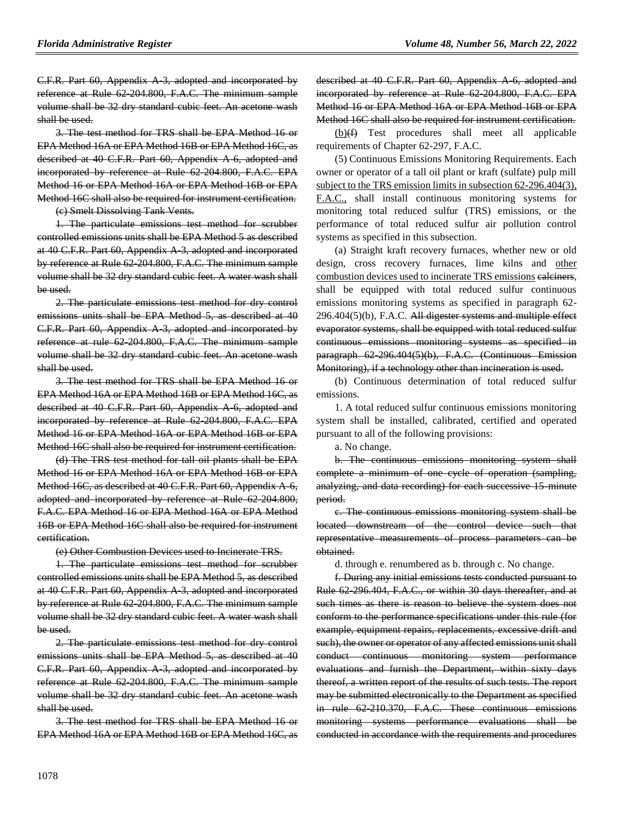C.F.R. Part 60, Appendix A-3, adopted and incorporated by reference at Rule 62-204.800, F.A.C. The minimum sample volume shall be 32 dry standard cubic feet. An acetone wash shall be used.

3. The test method for TRS shall be EPA Method 16 or EPA Method 16A or EPA Method 16B or EPA Method 16C, as described at 40 C.F.R. Part 60, Appendix A-6, adopted and incorporated by reference at Rule 62-204.800, F.A.C. EPA Method 16 or EPA Method 16A or EPA Method 16B or EPA Method 16C shall also be required for instrument certification.

(c) Smelt Dissolving Tank Vents.

1. The particulate emissions test method for scrubber controlled emissions units shall be EPA Method 5 as described at 40 C.F.R. Part 60, Appendix A-3, adopted and incorporated by reference at Rule 62-204.800, F.A.C. The minimum sample volume shall be 32 dry standard cubic feet. A water wash shall be used.

2. The particulate emissions test method for dry control emissions units shall be EPA Method 5, as described at 40 C.F.R. Part 60, Appendix A-3, adopted and incorporated by reference at rule 62-204.800, F.A.C. The minimum sample volume shall be 32 dry standard cubic feet. An acetone wash shall be used.

3. The test method for TRS shall be EPA Method 16 or EPA Method 16A or EPA Method 16B or EPA Method 16C, as described at 40 C.F.R. Part 60, Appendix A 6, adopted and incorporated by reference at Rule 62-204.800, F.A.C. EPA Method 16 or EPA Method 16A or EPA Method 16B or EPA Method 16C shall also be required for instrument certification.

(d) The TRS test method for tall oil plants shall be EPA Method 16 or EPA Method 16A or EPA Method 16B or EPA Method 16C, as described at 40 C.F.R. Part 60, Appendix A-6, adopted and incorporated by reference at Rule 62-204.800, F.A.C. EPA Method 16 or EPA Method 16A or EPA Method 16B or EPA Method 16C shall also be required for instrument certification.

(e) Other Combustion Devices used to Incinerate TRS.

1. The particulate emissions test method for scrubber controlled emissions units shall be EPA Method 5, as described at 40 C.F.R. Part 60, Appendix A-3, adopted and incorporated by reference at Rule 62-204.800, F.A.C. The minimum sample volume shall be 32 dry standard cubic feet. A water wash shall be used.

2. The particulate emissions test method for dry control emissions units shall be EPA Method 5, as described at 40 C.F.R. Part 60, Appendix A-3, adopted and incorporated by reference at Rule 62-204.800, F.A.C. The minimum sample volume shall be 32 dry standard cubic feet. An acetone wash shall be used.

3. The test method for TRS shall be EPA Method 16 or EPA Method 16A or EPA Method 16B or EPA Method 16C, as

described at 40 C.F.R. Part 60, Appendix A-6, adopted and incorporated by reference at Rule 62-204.800, F.A.C. EPA Method 16 or EPA Method 16A or EPA Method 16B or EPA Method 16C shall also be required for instrument certification.

 $(b)(f)$  Test procedures shall meet all applicable requirements of Chapter 62-297, F.A.C.

(5) Continuous Emissions Monitoring Requirements. Each owner or operator of a tall oil plant or kraft (sulfate) pulp mill subject to the TRS emission limits in subsection 62-296.404(3), F.A.C., shall install continuous monitoring systems for monitoring total reduced sulfur (TRS) emissions, or the performance of total reduced sulfur air pollution control systems as specified in this subsection.

(a) Straight kraft recovery furnaces, whether new or old design, cross recovery furnaces, lime kilns and other combustion devices used to incinerate TRS emissions calciners, shall be equipped with total reduced sulfur continuous emissions monitoring systems as specified in paragraph 62-  $296.404(5)(b)$ , F.A.C. All digester systems and multiple effect evaporator systems, shall be equipped with total reduced sulfur continuous emissions monitoring systems as specified in paragraph 62-296.404(5)(b), F.A.C. (Continuous Emission Monitoring), if a technology other than incineration is used.

(b) Continuous determination of total reduced sulfur emissions.

1. A total reduced sulfur continuous emissions monitoring system shall be installed, calibrated, certified and operated pursuant to all of the following provisions:

a. No change.

b. The continuous emissions monitoring system shall complete a minimum of one cycle of operation (sampling, analyzing, and data recording) for each successive 15 minute period.

c. The continuous emissions monitoring system shall be located downstream of the control device such that representative measurements of process parameters can be obtained.

d. through e. renumbered as b. through c. No change.

f. During any initial emissions tests conducted pursuant to Rule 62-296.404, F.A.C., or within 30 days thereafter, and at such times as there is reason to believe the system does not conform to the performance specifications under this rule (for example, equipment repairs, replacements, excessive drift and such), the owner or operator of any affected emissions unit shall conduct continuous monitoring system performance evaluations and furnish the Department, within sixty days thereof, a written report of the results of such tests. The report may be submitted electronically to the Department as specified in rule 62-210.370, F.A.C. These continuous emissions monitoring systems performance evaluations shall be conducted in accordance with the requirements and procedures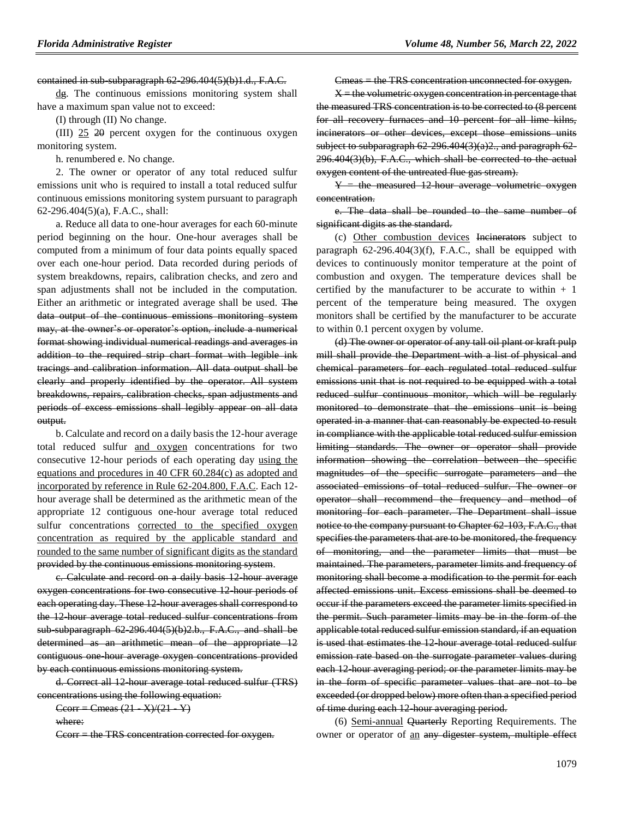contained in sub-subparagraph 62-296.404(5)(b)1.d., F.A.C.

dg. The continuous emissions monitoring system shall have a maximum span value not to exceed:

(I) through (II) No change.

(III) 25 20 percent oxygen for the continuous oxygen monitoring system.

h. renumbered e. No change.

2. The owner or operator of any total reduced sulfur emissions unit who is required to install a total reduced sulfur continuous emissions monitoring system pursuant to paragraph 62-296.404(5)(a), F.A.C., shall:

a. Reduce all data to one-hour averages for each 60-minute period beginning on the hour. One-hour averages shall be computed from a minimum of four data points equally spaced over each one-hour period. Data recorded during periods of system breakdowns, repairs, calibration checks, and zero and span adjustments shall not be included in the computation. Either an arithmetic or integrated average shall be used. The data output of the continuous emissions monitoring system may, at the owner's or operator's option, include a numerical format showing individual numerical readings and averages in addition to the required strip chart format with legible ink tracings and calibration information. All data output shall be clearly and properly identified by the operator. All system breakdowns, repairs, calibration checks, span adjustments and periods of excess emissions shall legibly appear on all data output.

b. Calculate and record on a daily basis the 12-hour average total reduced sulfur and oxygen concentrations for two consecutive 12-hour periods of each operating day using the equations and procedures in 40 CFR 60.284(c) as adopted and incorporated by reference in Rule 62-204.800, F.A.C. Each 12 hour average shall be determined as the arithmetic mean of the appropriate 12 contiguous one-hour average total reduced sulfur concentrations corrected to the specified oxygen concentration as required by the applicable standard and rounded to the same number of significant digits as the standard provided by the continuous emissions monitoring system.

c. Calculate and record on a daily basis 12-hour average oxygen concentrations for two consecutive 12-hour periods of each operating day. These 12-hour averages shall correspond to the 12-hour average total reduced sulfur concentrations from sub-subparagraph  $62-296.404(5)(b)2.b., F.A.C., and shall be$ determined as an arithmetic mean of the appropriate 12 contiguous one-hour average oxygen concentrations provided by each continuous emissions monitoring system.

d. Correct all 12-hour average total reduced sulfur (TRS) concentrations using the following equation:

 $C\text{corr} = \text{Cmeas} (21 - X)/(21 - Y)$ 

where:

Ccorr = the TRS concentration corrected for oxygen.

Cmeas = the TRS concentration unconnected for oxygen.

 $X =$  the volumetric oxygen concentration in percentage that the measured TRS concentration is to be corrected to (8 percent for all recovery furnaces and 10 percent for all lime kilns, incinerators or other devices, except those emissions units subject to subparagraph  $62-296.404(3)(a)2$ ., and paragraph  $62-$ 296.404(3)(b), F.A.C., which shall be corrected to the actual oxygen content of the untreated flue gas stream).

 $Y =$  the measured 12-hour average volumetric oxygen concentration.

e. The data shall be rounded to the same number of significant digits as the standard.

(c) Other combustion devices Incinerators subject to paragraph 62-296.404(3)(f), F.A.C., shall be equipped with devices to continuously monitor temperature at the point of combustion and oxygen. The temperature devices shall be certified by the manufacturer to be accurate to within  $+1$ percent of the temperature being measured. The oxygen monitors shall be certified by the manufacturer to be accurate to within 0.1 percent oxygen by volume.

(d) The owner or operator of any tall oil plant or kraft pulp mill shall provide the Department with a list of physical and chemical parameters for each regulated total reduced sulfur emissions unit that is not required to be equipped with a total reduced sulfur continuous monitor, which will be regularly monitored to demonstrate that the emissions unit is being operated in a manner that can reasonably be expected to result in compliance with the applicable total reduced sulfur emission limiting standards. The owner or operator shall provide information showing the correlation between the specific magnitudes of the specific surrogate parameters and the associated emissions of total reduced sulfur. The owner or operator shall recommend the frequency and method of monitoring for each parameter. The Department shall issue notice to the company pursuant to Chapter 62 103, F.A.C., that specifies the parameters that are to be monitored, the frequency of monitoring, and the parameter limits that must be maintained. The parameters, parameter limits and frequency of monitoring shall become a modification to the permit for each affected emissions unit. Excess emissions shall be deemed to occur if the parameters exceed the parameter limits specified in the permit. Such parameter limits may be in the form of the applicable total reduced sulfur emission standard, if an equation is used that estimates the 12 hour average total reduced sulfur emission rate based on the surrogate parameter values during each 12 hour averaging period; or the parameter limits may be in the form of specific parameter values that are not to be exceeded (or dropped below) more often than a specified period of time during each 12-hour averaging period.

(6) Semi-annual Quarterly Reporting Requirements. The owner or operator of an any digester system, multiple effect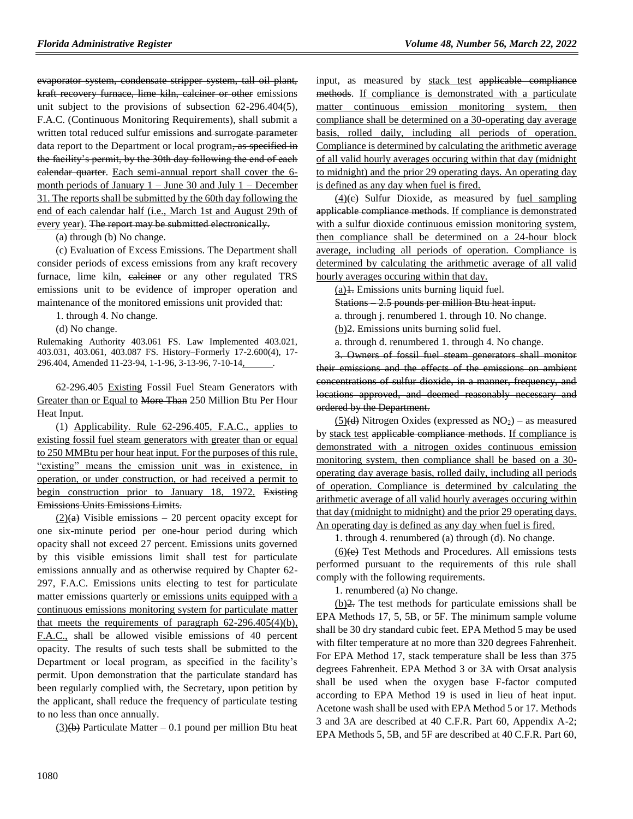evaporator system, condensate stripper system, tall oil plant, kraft recovery furnace, lime kiln, calciner or other emissions unit subject to the provisions of subsection 62-296.404(5), F.A.C. (Continuous Monitoring Requirements), shall submit a written total reduced sulfur emissions and surrogate parameter data report to the Department or local program, as specified in the facility's permit, by the 30th day following the end of each calendar quarter. Each semi-annual report shall cover the 6 month periods of January 1 – June 30 and July 1 – December 31. The reports shall be submitted by the 60th day following the end of each calendar half (i.e., March 1st and August 29th of every year). The report may be submitted electronically.

(a) through (b) No change.

(c) Evaluation of Excess Emissions. The Department shall consider periods of excess emissions from any kraft recovery furnace, lime kiln, ealeiner or any other regulated TRS emissions unit to be evidence of improper operation and maintenance of the monitored emissions unit provided that:

1. through 4. No change.

(d) No change.

Rulemaking Authority 403.061 FS. Law Implemented 403.021, 403.031, 403.061, 403.087 FS. History–Formerly 17-2.600(4), 17- 296.404, Amended 11-23-94, 1-1-96, 3-13-96, 7-10-14, .

62-296.405 Existing Fossil Fuel Steam Generators with Greater than or Equal to More Than 250 Million Btu Per Hour Heat Input.

(1) Applicability. Rule 62-296.405, F.A.C., applies to existing fossil fuel steam generators with greater than or equal to 250 MMBtu per hour heat input. For the purposes of this rule, "existing" means the emission unit was in existence, in operation, or under construction, or had received a permit to begin construction prior to January 18, 1972. Existing Emissions Units Emissions Limits.

 $(2)(a)$  Visible emissions – 20 percent opacity except for one six-minute period per one-hour period during which opacity shall not exceed 27 percent. Emissions units governed by this visible emissions limit shall test for particulate emissions annually and as otherwise required by Chapter 62- 297, F.A.C. Emissions units electing to test for particulate matter emissions quarterly or emissions units equipped with a continuous emissions monitoring system for particulate matter that meets the requirements of paragraph  $62-296.405(4)(b)$ , F.A.C., shall be allowed visible emissions of 40 percent opacity. The results of such tests shall be submitted to the Department or local program, as specified in the facility's permit. Upon demonstration that the particulate standard has been regularly complied with, the Secretary, upon petition by the applicant, shall reduce the frequency of particulate testing to no less than once annually.

 $(3)(b)$  Particulate Matter – 0.1 pound per million Btu heat

input, as measured by stack test applicable compliance methods. If compliance is demonstrated with a particulate matter continuous emission monitoring system, then compliance shall be determined on a 30-operating day average basis, rolled daily, including all periods of operation. Compliance is determined by calculating the arithmetic average of all valid hourly averages occuring within that day (midnight to midnight) and the prior 29 operating days. An operating day is defined as any day when fuel is fired.

 $(4)(e)$  Sulfur Dioxide, as measured by fuel sampling applicable compliance methods. If compliance is demonstrated with a sulfur dioxide continuous emission monitoring system, then compliance shall be determined on a 24-hour block average, including all periods of operation. Compliance is determined by calculating the arithmetic average of all valid hourly averages occuring within that day.

 $(a)$ 1. Emissions units burning liquid fuel.

Stations – 2.5 pounds per million Btu heat input.

a. through j. renumbered 1. through 10. No change.

(b)2. Emissions units burning solid fuel.

a. through d. renumbered 1. through 4. No change.

3. Owners of fossil fuel steam generators shall monitor their emissions and the effects of the emissions on ambient concentrations of sulfur dioxide, in a manner, frequency, and locations approved, and deemed reasonably necessary and ordered by the Department.

 $(5)(d)$  Nitrogen Oxides (expressed as  $NO<sub>2</sub>$ ) – as measured by stack test applicable compliance methods. If compliance is demonstrated with a nitrogen oxides continuous emission monitoring system, then compliance shall be based on a 30 operating day average basis, rolled daily, including all periods of operation. Compliance is determined by calculating the arithmetic average of all valid hourly averages occuring within that day (midnight to midnight) and the prior 29 operating days. An operating day is defined as any day when fuel is fired.

1. through 4. renumbered (a) through (d). No change.

(6)(e) Test Methods and Procedures. All emissions tests performed pursuant to the requirements of this rule shall comply with the following requirements.

1. renumbered (a) No change.

(b)2. The test methods for particulate emissions shall be EPA Methods 17, 5, 5B, or 5F. The minimum sample volume shall be 30 dry standard cubic feet. EPA Method 5 may be used with filter temperature at no more than 320 degrees Fahrenheit. For EPA Method 17, stack temperature shall be less than 375 degrees Fahrenheit. EPA Method 3 or 3A with Orsat analysis shall be used when the oxygen base F-factor computed according to EPA Method 19 is used in lieu of heat input. Acetone wash shall be used with EPA Method 5 or 17. Methods 3 and 3A are described at 40 C.F.R. Part 60, Appendix A-2; EPA Methods 5, 5B, and 5F are described at 40 C.F.R. Part 60,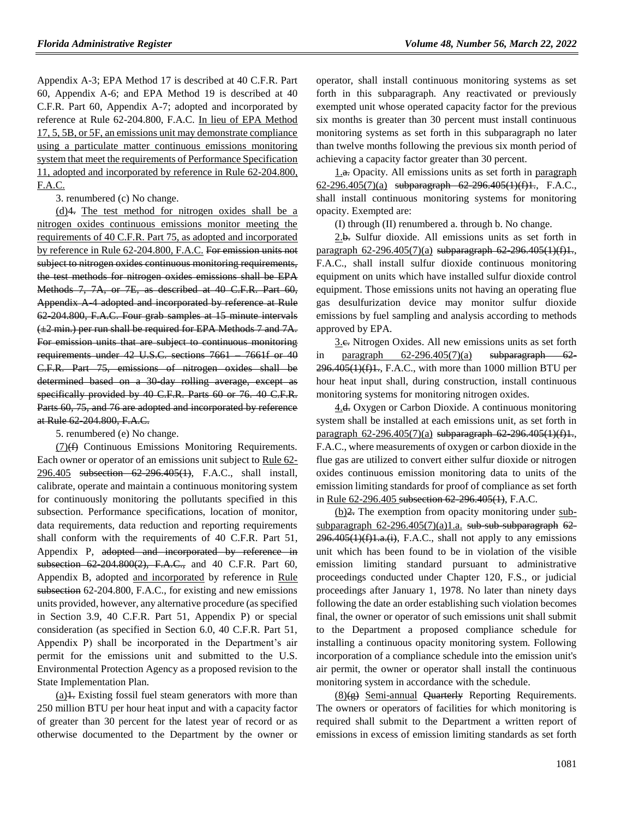Appendix A-3; EPA Method 17 is described at 40 C.F.R. Part 60, Appendix A-6; and EPA Method 19 is described at 40 C.F.R. Part 60, Appendix A-7; adopted and incorporated by reference at Rule 62-204.800, F.A.C. In lieu of EPA Method 17, 5, 5B, or 5F, an emissions unit may demonstrate compliance using a particulate matter continuous emissions monitoring system that meet the requirements of Performance Specification 11, adopted and incorporated by reference in Rule 62-204.800, F.A.C.

3. renumbered (c) No change.

(d)4. The test method for nitrogen oxides shall be a nitrogen oxides continuous emissions monitor meeting the requirements of 40 C.F.R. Part 75, as adopted and incorporated by reference in Rule 62-204.800, F.A.C. For emission units not subject to nitrogen oxides continuous monitoring requirements, the test methods for nitrogen oxides emissions shall be EPA Methods 7, 7A, or 7E, as described at 40 C.F.R. Part 60, Appendix A-4 adopted and incorporated by reference at Rule 62-204.800, F.A.C. Four grab samples at 15 minute intervals  $(\pm 2 \text{ min.})$  per run shall be required for EPA Methods 7 and 7A. For emission units that are subject to continuous monitoring requirements under 42 U.S.C. sections 7661 – 7661f or 40 C.F.R. Part 75, emissions of nitrogen oxides shall be determined based on a 30-day rolling average, except as specifically provided by 40 C.F.R. Parts 60 or 76. 40 C.F.R. Parts 60, 75, and 76 are adopted and incorporated by reference at Rule 62-204.800, F.A.C.

5. renumbered (e) No change.

 $(7)(f)$  Continuous Emissions Monitoring Requirements. Each owner or operator of an emissions unit subject to Rule 62- 296.405 subsection 62-296.405(1), F.A.C., shall install, calibrate, operate and maintain a continuous monitoring system for continuously monitoring the pollutants specified in this subsection. Performance specifications, location of monitor, data requirements, data reduction and reporting requirements shall conform with the requirements of 40 C.F.R. Part 51, Appendix P, adopted and incorporated by reference in subsection 62-204.800(2), F.A.C., and 40 C.F.R. Part 60, Appendix B, adopted and incorporated by reference in Rule subsection 62-204.800, F.A.C., for existing and new emissions units provided, however, any alternative procedure (as specified in Section 3.9, 40 C.F.R. Part 51, Appendix P) or special consideration (as specified in Section 6.0, 40 C.F.R. Part 51, Appendix P) shall be incorporated in the Department's air permit for the emissions unit and submitted to the U.S. Environmental Protection Agency as a proposed revision to the State Implementation Plan.

 $(a)$ 1. Existing fossil fuel steam generators with more than 250 million BTU per hour heat input and with a capacity factor of greater than 30 percent for the latest year of record or as otherwise documented to the Department by the owner or operator, shall install continuous monitoring systems as set forth in this subparagraph. Any reactivated or previously exempted unit whose operated capacity factor for the previous six months is greater than 30 percent must install continuous monitoring systems as set forth in this subparagraph no later than twelve months following the previous six month period of achieving a capacity factor greater than 30 percent.

1.a. Opacity. All emissions units as set forth in paragraph 62-296.405(7)(a) subparagraph 62-296.405(1)(f)1., F.A.C., shall install continuous monitoring systems for monitoring opacity. Exempted are:

(I) through (II) renumbered a. through b. No change.

2.b. Sulfur dioxide. All emissions units as set forth in paragraph 62-296.405(7)(a) subparagraph 62-296.405(1)(f)1., F.A.C., shall install sulfur dioxide continuous monitoring equipment on units which have installed sulfur dioxide control equipment. Those emissions units not having an operating flue gas desulfurization device may monitor sulfur dioxide emissions by fuel sampling and analysis according to methods approved by EPA.

3.c. Nitrogen Oxides. All new emissions units as set forth in paragraph  $62-296.405(7)(a)$  subparagraph  $62 296.405(1)(f)1$ ., F.A.C., with more than 1000 million BTU per hour heat input shall, during construction, install continuous monitoring systems for monitoring nitrogen oxides.

4.<del>d.</del> Oxygen or Carbon Dioxide. A continuous monitoring system shall be installed at each emissions unit, as set forth in paragraph  $62-296.405(7)(a)$  subparagraph  $62-296.405(1)(f)1$ . F.A.C., where measurements of oxygen or carbon dioxide in the flue gas are utilized to convert either sulfur dioxide or nitrogen oxides continuous emission monitoring data to units of the emission limiting standards for proof of compliance as set forth in Rule 62-296.405 subsection 62-296.405(1), F.A.C.

(b)<sup>2</sup>. The exemption from opacity monitoring under subsubparagraph  $62-296.405(7)(a)1.a.$  sub-sub-subparagraph  $62 296.405(1)(f)1.a.(i)$ , F.A.C., shall not apply to any emissions unit which has been found to be in violation of the visible emission limiting standard pursuant to administrative proceedings conducted under Chapter 120, F.S., or judicial proceedings after January 1, 1978. No later than ninety days following the date an order establishing such violation becomes final, the owner or operator of such emissions unit shall submit to the Department a proposed compliance schedule for installing a continuous opacity monitoring system. Following incorporation of a compliance schedule into the emission unit's air permit, the owner or operator shall install the continuous monitoring system in accordance with the schedule.

 $(8)(\epsilon)$  Semi-annual Quarterly Reporting Requirements. The owners or operators of facilities for which monitoring is required shall submit to the Department a written report of emissions in excess of emission limiting standards as set forth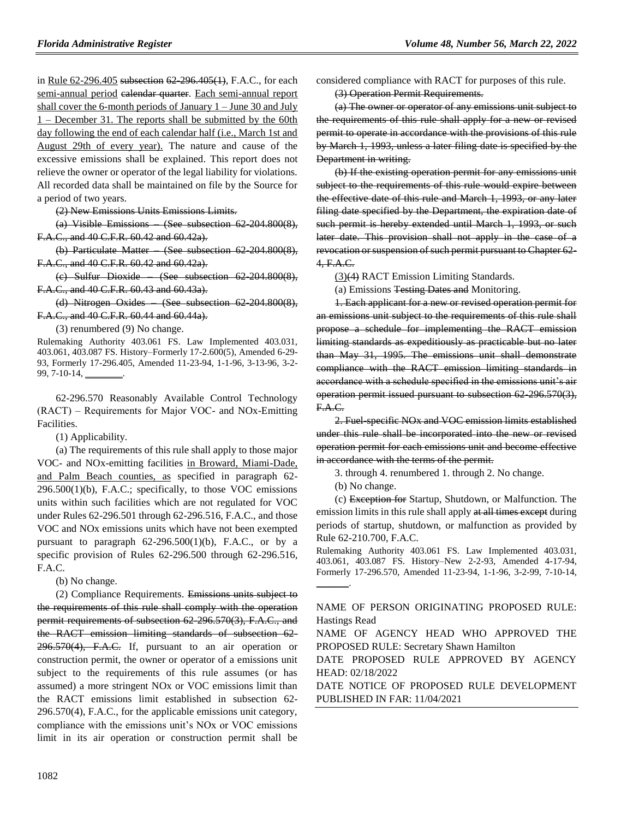in Rule 62-296.405 subsection 62-296.405(1), F.A.C., for each semi-annual period calendar quarter. Each semi-annual report shall cover the 6-month periods of January  $1 -$  June 30 and July 1 – December 31. The reports shall be submitted by the 60th day following the end of each calendar half (i.e., March 1st and August 29th of every year). The nature and cause of the excessive emissions shall be explained. This report does not relieve the owner or operator of the legal liability for violations. All recorded data shall be maintained on file by the Source for a period of two years.

(2) New Emissions Units Emissions Limits.

(a) Visible Emissions – (See subsection 62-204.800(8), F.A.C., and 40 C.F.R. 60.42 and 60.42a).

(b) Particulate Matter – (See subsection 62-204.800(8), F.A.C., and 40 C.F.R. 60.42 and 60.42a).

(c) Sulfur Dioxide – (See subsection 62-204.800(8), F.A.C., and 40 C.F.R. 60.43 and 60.43a).

(d) Nitrogen Oxides – (See subsection 62-204.800(8), F.A.C., and 40 C.F.R. 60.44 and 60.44a).

(3) renumbered (9) No change.

Rulemaking Authority 403.061 FS. Law Implemented 403.031, 403.061, 403.087 FS. History–Formerly 17-2.600(5), Amended 6-29- 93, Formerly 17-296.405, Amended 11-23-94, 1-1-96, 3-13-96, 3-2- 99, 7-10-14,

62-296.570 Reasonably Available Control Technology (RACT) ‒ Requirements for Major VOC- and NOx-Emitting Facilities.

(1) Applicability.

(a) The requirements of this rule shall apply to those major VOC- and NOx-emitting facilities in Broward, Miami-Dade, and Palm Beach counties, as specified in paragraph 62- 296.500(1)(b), F.A.C.; specifically, to those VOC emissions units within such facilities which are not regulated for VOC under Rules 62-296.501 through 62-296.516, F.A.C., and those VOC and NOx emissions units which have not been exempted pursuant to paragraph  $62-296.500(1)(b)$ , F.A.C., or by a specific provision of Rules 62-296.500 through 62-296.516, F.A.C.

(b) No change.

(2) Compliance Requirements. Emissions units subject to the requirements of this rule shall comply with the operation permit requirements of subsection 62-296.570(3), F.A.C., and the RACT emission limiting standards of subsection 62-  $296.570(4)$ , F.A.C. If, pursuant to an air operation or construction permit, the owner or operator of a emissions unit subject to the requirements of this rule assumes (or has assumed) a more stringent NOx or VOC emissions limit than the RACT emissions limit established in subsection 62- 296.570(4), F.A.C., for the applicable emissions unit category, compliance with the emissions unit's NOx or VOC emissions limit in its air operation or construction permit shall be

considered compliance with RACT for purposes of this rule.

(3) Operation Permit Requirements.

(a) The owner or operator of any emissions unit subject to the requirements of this rule shall apply for a new or revised permit to operate in accordance with the provisions of this rule by March 1, 1993, unless a later filing date is specified by the Department in writing.

(b) If the existing operation permit for any emissions unit subject to the requirements of this rule would expire between the effective date of this rule and March 1, 1993, or any later filing date specified by the Department, the expiration date of such permit is hereby extended until March 1, 1993, or such later date. This provision shall not apply in the case of a revocation or suspension of such permit pursuant to Chapter 62- 4, F.A.C.

(3)(4) RACT Emission Limiting Standards.

(a) Emissions Testing Dates and Monitoring.

1. Each applicant for a new or revised operation permit for an emissions unit subject to the requirements of this rule shall propose a schedule for implementing the RACT emission limiting standards as expeditiously as practicable but no later than May 31, 1995. The emissions unit shall demonstrate compliance with the RACT emission limiting standards in accordance with a schedule specified in the emissions unit's air operation permit issued pursuant to subsection 62-296.570(3), F.A.C.

2. Fuel-specific NOx and VOC emission limits established under this rule shall be incorporated into the new or revised operation permit for each emissions unit and become effective in accordance with the terms of the permit.

3. through 4. renumbered 1. through 2. No change.

(b) No change.

 $\overline{\phantom{a}}$  .

(c) Exception for Startup, Shutdown, or Malfunction. The emission limits in this rule shall apply at all times except during periods of startup, shutdown, or malfunction as provided by Rule 62-210.700, F.A.C.

Rulemaking Authority 403.061 FS. Law Implemented 403.031, 403.061, 403.087 FS. History–New 2-2-93, Amended 4-17-94, Formerly 17-296.570, Amended 11-23-94, 1-1-96, 3-2-99, 7-10-14,

NAME OF PERSON ORIGINATING PROPOSED RULE: Hastings Read

NAME OF AGENCY HEAD WHO APPROVED THE PROPOSED RULE: Secretary Shawn Hamilton

DATE PROPOSED RULE APPROVED BY AGENCY HEAD: 02/18/2022

DATE NOTICE OF PROPOSED RULE DEVELOPMENT PUBLISHED IN FAR: 11/04/2021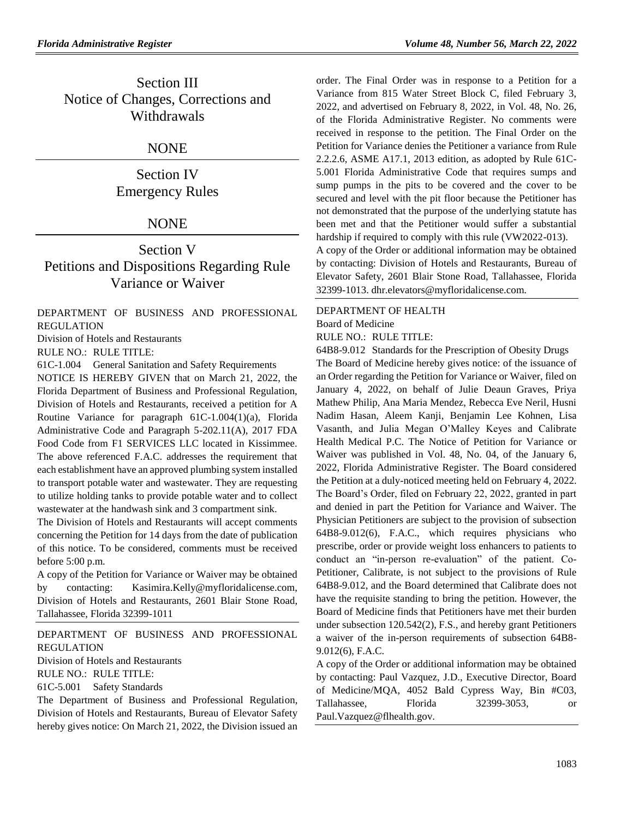## Section III Notice of Changes, Corrections and Withdrawals

## NONE

Section IV Emergency Rules

## **NONE**

## Section V Petitions and Dispositions Regarding Rule Variance or Waiver

[DEPARTMENT OF BUSINESS AND PROFESSIONAL](https://www.flrules.org/gateway/department.asp?id=61) [REGULATION](https://www.flrules.org/gateway/department.asp?id=61)

[Division of Hotels and Restaurants](https://www.flrules.org/gateway/organization.asp?id=249)

RULE NO.: RULE TITLE:

[61C-1.004](https://www.flrules.org/gateway/ruleNo.asp?id=61C-1.004) General Sanitation and Safety Requirements

NOTICE IS HEREBY GIVEN that on March 21, 2022, the Florida Department of Business and Professional Regulation, Division of Hotels and Restaurants, received a petition for A Routine Variance for paragraph 61C-1.004(1)(a), Florida Administrative Code and Paragraph 5-202.11(A), 2017 FDA Food Code from F1 SERVICES LLC located in Kissimmee. The above referenced F.A.C. addresses the requirement that each establishment have an approved plumbing system installed to transport potable water and wastewater. They are requesting to utilize holding tanks to provide potable water and to collect wastewater at the handwash sink and 3 compartment sink.

The Division of Hotels and Restaurants will accept comments concerning the Petition for 14 days from the date of publication of this notice. To be considered, comments must be received before 5:00 p.m.

A copy of the Petition for Variance or Waiver may be obtained by contacting: Kasimira.Kelly@myfloridalicense.com, Division of Hotels and Restaurants, 2601 Blair Stone Road, Tallahassee, Florida 32399-1011

### [DEPARTMENT OF BUSINESS AND PROFESSIONAL](https://www.flrules.org/gateway/department.asp?id=61)  [REGULATION](https://www.flrules.org/gateway/department.asp?id=61) [Division of Hotels and Restaurants](https://www.flrules.org/gateway/organization.asp?id=249)

RULE NO.: RULE TITLE: [61C-5.001](https://www.flrules.org/gateway/ruleNo.asp?id=61C-5.001) Safety Standards

The Department of Business and Professional Regulation, Division of Hotels and Restaurants, Bureau of Elevator Safety hereby gives notice: On March 21, 2022, the Division issued an

order. The Final Order was in response to a Petition for a Variance from 815 Water Street Block C, filed February 3, 2022, and advertised on February 8, 2022, in Vol. 48, No. 26, of the Florida Administrative Register. No comments were received in response to the petition. The Final Order on the Petition for Variance denies the Petitioner a variance from Rule 2.2.2.6, ASME A17.1, 2013 edition, as adopted by Rule 61C-5.001 Florida Administrative Code that requires sumps and sump pumps in the pits to be covered and the cover to be secured and level with the pit floor because the Petitioner has not demonstrated that the purpose of the underlying statute has been met and that the Petitioner would suffer a substantial hardship if required to comply with this rule (VW2022-013).

A copy of the Order or additional information may be obtained by contacting: Division of Hotels and Restaurants, Bureau of Elevator Safety, 2601 Blair Stone Road, Tallahassee, Florida 32399-1013. dhr.elevators@myfloridalicense.com.

[DEPARTMENT OF HEALTH](https://www.flrules.org/gateway/department.asp?id=64)

[Board of Medicine](https://www.flrules.org/gateway/organization.asp?id=331)

RULE NO.: RULE TITLE:

[64B8-9.012](https://www.flrules.org/gateway/ruleNo.asp?id=64B8-9.012) Standards for the Prescription of Obesity Drugs

The Board of Medicine hereby gives notice: of the issuance of an Order regarding the Petition for Variance or Waiver, filed on January 4, 2022, on behalf of Julie Deaun Graves, Priya Mathew Philip, Ana Maria Mendez, Rebecca Eve Neril, Husni Nadim Hasan, Aleem Kanji, Benjamin Lee Kohnen, Lisa Vasanth, and Julia Megan O'Malley Keyes and Calibrate Health Medical P.C. The Notice of Petition for Variance or Waiver was published in Vol. 48, No. 04, of the January 6, 2022, Florida Administrative Register. The Board considered the Petition at a duly-noticed meeting held on February 4, 2022. The Board's Order, filed on February 22, 2022, granted in part and denied in part the Petition for Variance and Waiver. The Physician Petitioners are subject to the provision of subsection 64B8-9.012(6), F.A.C., which requires physicians who prescribe, order or provide weight loss enhancers to patients to conduct an "in-person re-evaluation" of the patient. Co-Petitioner, Calibrate, is not subject to the provisions of Rule 64B8-9.012, and the Board determined that Calibrate does not have the requisite standing to bring the petition. However, the Board of Medicine finds that Petitioners have met their burden under subsection 120.542(2), F.S., and hereby grant Petitioners a waiver of the in-person requirements of subsection 64B8- 9.012(6), F.A.C.

A copy of the Order or additional information may be obtained by contacting: Paul Vazquez, J.D., Executive Director, Board of Medicine/MQA, 4052 Bald Cypress Way, Bin #C03, Tallahassee, Florida 32399-3053, or Paul.Vazquez@flhealth.gov.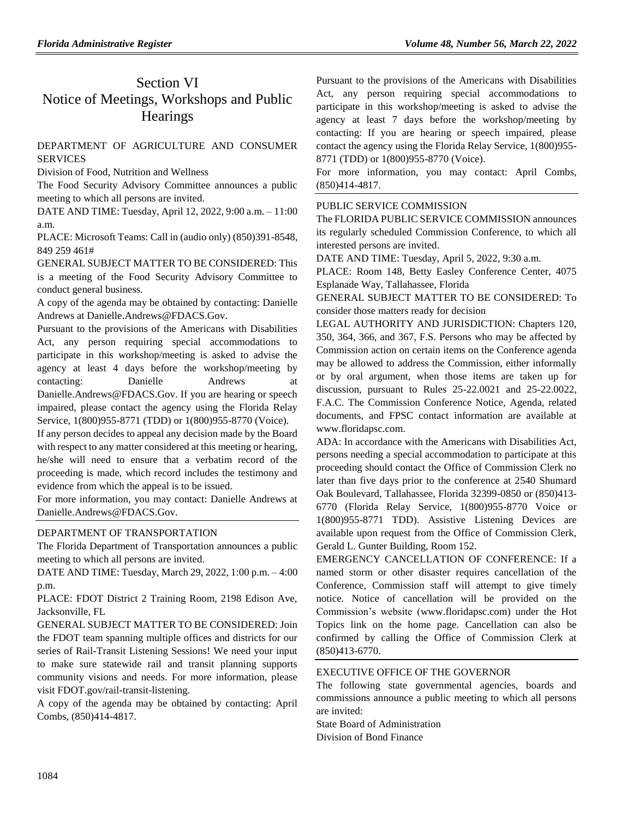## Section VI Notice of Meetings, Workshops and Public **Hearings**

### [DEPARTMENT OF AGRICULTURE AND CONSUMER](https://www.flrules.org/gateway/department.asp?id=5)  **[SERVICES](https://www.flrules.org/gateway/department.asp?id=5)**

[Division of Food, Nutrition and Wellness](https://www.flrules.org/gateway/organization.asp?id=1068)

The Food Security Advisory Committee announces a public meeting to which all persons are invited.

DATE AND TIME: Tuesday, April 12, 2022, 9:00 a.m. – 11:00 a.m.

PLACE: Microsoft Teams: Call in (audio only) (850)391-8548, 849 259 461#

GENERAL SUBJECT MATTER TO BE CONSIDERED: This is a meeting of the Food Security Advisory Committee to conduct general business.

A copy of the agenda may be obtained by contacting: Danielle Andrews at Danielle.Andrews@FDACS.Gov.

Pursuant to the provisions of the Americans with Disabilities Act, any person requiring special accommodations to participate in this workshop/meeting is asked to advise the agency at least 4 days before the workshop/meeting by contacting: Danielle Andrews at Danielle.Andrews@FDACS.Gov. If you are hearing or speech impaired, please contact the agency using the Florida Relay Service, 1(800)955-8771 (TDD) or 1(800)955-8770 (Voice).

If any person decides to appeal any decision made by the Board with respect to any matter considered at this meeting or hearing, he/she will need to ensure that a verbatim record of the proceeding is made, which record includes the testimony and evidence from which the appeal is to be issued.

For more information, you may contact: Danielle Andrews at Danielle.Andrews@FDACS.Gov.

### [DEPARTMENT OF TRANSPORTATION](https://www.flrules.org/gateway/department.asp?id=14)

The Florida Department of Transportation announces a public meeting to which all persons are invited.

DATE AND TIME: Tuesday, March 29, 2022, 1:00 p.m. – 4:00 p.m.

PLACE: FDOT District 2 Training Room, 2198 Edison Ave, Jacksonville, FL

GENERAL SUBJECT MATTER TO BE CONSIDERED: Join the FDOT team spanning multiple offices and districts for our series of Rail-Transit Listening Sessions! We need your input to make sure statewide rail and transit planning supports community visions and needs. For more information, please visit FDOT.gov/rail-transit-listening.

A copy of the agenda may be obtained by contacting: April Combs, (850)414-4817.

Pursuant to the provisions of the Americans with Disabilities Act, any person requiring special accommodations to participate in this workshop/meeting is asked to advise the agency at least 7 days before the workshop/meeting by contacting: If you are hearing or speech impaired, please contact the agency using the Florida Relay Service, 1(800)955- 8771 (TDD) or 1(800)955-8770 (Voice).

For more information, you may contact: April Combs, (850)414-4817.

### PUBLIC SERVICE COMMISSION

The FLORIDA PUBLIC SERVICE COMMISSION announces its regularly scheduled Commission Conference, to which all interested persons are invited.

DATE AND TIME: Tuesday, April 5, 2022, 9:30 a.m.

PLACE: Room 148, Betty Easley Conference Center, 4075 Esplanade Way, Tallahassee, Florida

GENERAL SUBJECT MATTER TO BE CONSIDERED: To consider those matters ready for decision

LEGAL AUTHORITY AND JURISDICTION: Chapters 120, 350, 364, 366, and 367, F.S. Persons who may be affected by Commission action on certain items on the Conference agenda may be allowed to address the Commission, either informally or by oral argument, when those items are taken up for discussion, pursuant to Rules 25-22.0021 and 25-22.0022, F.A.C. The Commission Conference Notice, Agenda, related documents, and FPSC contact information are available at [www.floridapsc.com.](http://www.floridapsc.com/)

ADA: In accordance with the Americans with Disabilities Act, persons needing a special accommodation to participate at this proceeding should contact the Office of Commission Clerk no later than five days prior to the conference at 2540 Shumard Oak Boulevard, Tallahassee, Florida 32399-0850 or (850)413- 6770 (Florida Relay Service, 1(800)955-8770 Voice or 1(800)955-8771 TDD). Assistive Listening Devices are available upon request from the Office of Commission Clerk, Gerald L. Gunter Building, Room 152.

EMERGENCY CANCELLATION OF CONFERENCE: If a named storm or other disaster requires cancellation of the Conference, Commission staff will attempt to give timely notice. Notice of cancellation will be provided on the Commission's website [\(www.floridapsc.com\)](http://www.floridapsc.com/) under the Hot Topics link on the home page. Cancellation can also be confirmed by calling the Office of Commission Clerk at (850)413-6770.

### [EXECUTIVE OFFICE OF THE GOVERNOR](https://www.flrules.org/gateway/department.asp?id=27)

The following state governmental agencies, boards and commissions announce a public meeting to which all persons are invited:

State Board of Administration Division of Bond Finance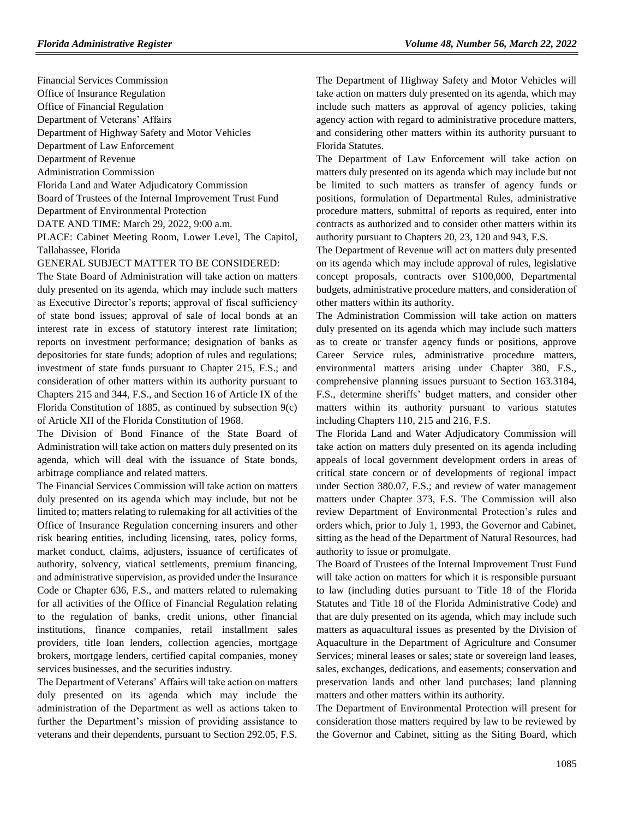Financial Services Commission Office of Insurance Regulation Office of Financial Regulation Department of Veterans' Affairs Department of Highway Safety and Motor Vehicles Department of Law Enforcement Department of Revenue Administration Commission Florida Land and Water Adjudicatory Commission Board of Trustees of the Internal Improvement Trust Fund Department of Environmental Protection DATE AND TIME: March 29, 2022, 9:00 a.m.

PLACE: Cabinet Meeting Room, Lower Level, The Capitol, Tallahassee, Florida

#### GENERAL SUBJECT MATTER TO BE CONSIDERED:

The State Board of Administration will take action on matters duly presented on its agenda, which may include such matters as Executive Director's reports; approval of fiscal sufficiency of state bond issues; approval of sale of local bonds at an interest rate in excess of statutory interest rate limitation; reports on investment performance; designation of banks as depositories for state funds; adoption of rules and regulations; investment of state funds pursuant to Chapter 215, F.S.; and consideration of other matters within its authority pursuant to Chapters 215 and 344, F.S., and Section 16 of Article IX of the Florida Constitution of 1885, as continued by subsection 9(c) of Article XII of the Florida Constitution of 1968.

The Division of Bond Finance of the State Board of Administration will take action on matters duly presented on its agenda, which will deal with the issuance of State bonds, arbitrage compliance and related matters.

The Financial Services Commission will take action on matters duly presented on its agenda which may include, but not be limited to; matters relating to rulemaking for all activities of the Office of Insurance Regulation concerning insurers and other risk bearing entities, including licensing, rates, policy forms, market conduct, claims, adjusters, issuance of certificates of authority, solvency, viatical settlements, premium financing, and administrative supervision, as provided under the Insurance Code or Chapter 636, F.S., and matters related to rulemaking for all activities of the Office of Financial Regulation relating to the regulation of banks, credit unions, other financial institutions, finance companies, retail installment sales providers, title loan lenders, collection agencies, mortgage brokers, mortgage lenders, certified capital companies, money services businesses, and the securities industry.

The Department of Veterans' Affairs will take action on matters duly presented on its agenda which may include the administration of the Department as well as actions taken to further the Department's mission of providing assistance to veterans and their dependents, pursuant to Section 292.05, F.S. The Department of Highway Safety and Motor Vehicles will take action on matters duly presented on its agenda, which may include such matters as approval of agency policies, taking agency action with regard to administrative procedure matters, and considering other matters within its authority pursuant to Florida Statutes.

The Department of Law Enforcement will take action on matters duly presented on its agenda which may include but not be limited to such matters as transfer of agency funds or positions, formulation of Departmental Rules, administrative procedure matters, submittal of reports as required, enter into contracts as authorized and to consider other matters within its authority pursuant to Chapters 20, 23, 120 and 943, F.S.

The Department of Revenue will act on matters duly presented on its agenda which may include approval of rules, legislative concept proposals, contracts over \$100,000, Departmental budgets, administrative procedure matters, and consideration of other matters within its authority.

The Administration Commission will take action on matters duly presented on its agenda which may include such matters as to create or transfer agency funds or positions, approve Career Service rules, administrative procedure matters, environmental matters arising under Chapter 380, F.S., comprehensive planning issues pursuant to Section 163.3184, F.S., determine sheriffs' budget matters, and consider other matters within its authority pursuant to various statutes including Chapters 110, 215 and 216, F.S.

The Florida Land and Water Adjudicatory Commission will take action on matters duly presented on its agenda including appeals of local government development orders in areas of critical state concern or of developments of regional impact under Section 380.07, F.S.; and review of water management matters under Chapter 373, F.S. The Commission will also review Department of Environmental Protection's rules and orders which, prior to July 1, 1993, the Governor and Cabinet, sitting as the head of the Department of Natural Resources, had authority to issue or promulgate.

The Board of Trustees of the Internal Improvement Trust Fund will take action on matters for which it is responsible pursuant to law (including duties pursuant to Title 18 of the Florida Statutes and Title 18 of the Florida Administrative Code) and that are duly presented on its agenda, which may include such matters as aquacultural issues as presented by the Division of Aquaculture in the Department of Agriculture and Consumer Services; mineral leases or sales; state or sovereign land leases, sales, exchanges, dedications, and easements; conservation and preservation lands and other land purchases; land planning matters and other matters within its authority.

The Department of Environmental Protection will present for consideration those matters required by law to be reviewed by the Governor and Cabinet, sitting as the Siting Board, which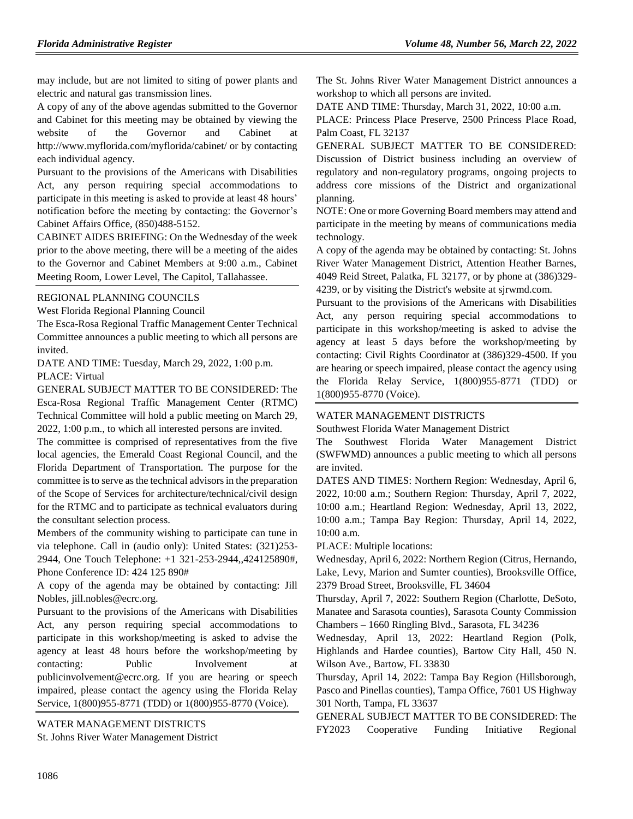may include, but are not limited to siting of power plants and electric and natural gas transmission lines.

A copy of any of the above agendas submitted to the Governor and Cabinet for this meeting may be obtained by viewing the website of the Governor and Cabinet at http://www.myflorida.com/myflorida/cabinet/ or by contacting each individual agency.

Pursuant to the provisions of the Americans with Disabilities Act, any person requiring special accommodations to participate in this meeting is asked to provide at least 48 hours' notification before the meeting by contacting: the Governor's Cabinet Affairs Office, (850)488-5152.

CABINET AIDES BRIEFING: On the Wednesday of the week prior to the above meeting, there will be a meeting of the aides to the Governor and Cabinet Members at 9:00 a.m., Cabinet Meeting Room, Lower Level, The Capitol, Tallahassee.

### [REGIONAL PLANNING COUNCILS](https://www.flrules.org/gateway/department.asp?id=29)

[West Florida Regional Planning Council](https://www.flrules.org/gateway/organization.asp?id=57)

The Esca-Rosa Regional Traffic Management Center Technical Committee announces a public meeting to which all persons are invited.

DATE AND TIME: Tuesday, March 29, 2022, 1:00 p.m. PLACE: Virtual

GENERAL SUBJECT MATTER TO BE CONSIDERED: The Esca-Rosa Regional Traffic Management Center (RTMC) Technical Committee will hold a public meeting on March 29, 2022, 1:00 p.m., to which all interested persons are invited.

The committee is comprised of representatives from the five local agencies, the Emerald Coast Regional Council, and the Florida Department of Transportation. The purpose for the committee is to serve as the technical advisors in the preparation of the Scope of Services for architecture/technical/civil design for the RTMC and to participate as technical evaluators during the consultant selection process.

Members of the community wishing to participate can tune in via telephone. Call in (audio only): United States: (321)253- 2944, One Touch Telephone: +1 321-253-2944,,424125890#, Phone Conference ID: 424 125 890#

A copy of the agenda may be obtained by contacting: Jill Nobles, jill.nobles@ecrc.org.

Pursuant to the provisions of the Americans with Disabilities Act, any person requiring special accommodations to participate in this workshop/meeting is asked to advise the agency at least 48 hours before the workshop/meeting by contacting: Public Involvement at publicinvolvement@ecrc.org. If you are hearing or speech impaired, please contact the agency using the Florida Relay Service, 1(800)955-8771 (TDD) or 1(800)955-8770 (Voice).

[WATER MANAGEMENT DISTRICTS](https://www.flrules.org/gateway/department.asp?id=40)

[St. Johns River Water Management District](https://www.flrules.org/gateway/organization.asp?id=122)

The St. Johns River Water Management District announces a workshop to which all persons are invited.

DATE AND TIME: Thursday, March 31, 2022, 10:00 a.m.

PLACE: Princess Place Preserve, 2500 Princess Place Road, Palm Coast, FL 32137

GENERAL SUBJECT MATTER TO BE CONSIDERED: Discussion of District business including an overview of regulatory and non-regulatory programs, ongoing projects to address core missions of the District and organizational planning.

NOTE: One or more Governing Board members may attend and participate in the meeting by means of communications media technology.

A copy of the agenda may be obtained by contacting: St. Johns River Water Management District, Attention Heather Barnes, 4049 Reid Street, Palatka, FL 32177, or by phone at (386)329- 4239, or by visiting the District's website at sjrwmd.com.

Pursuant to the provisions of the Americans with Disabilities Act, any person requiring special accommodations to participate in this workshop/meeting is asked to advise the agency at least 5 days before the workshop/meeting by contacting: Civil Rights Coordinator at (386)329-4500. If you are hearing or speech impaired, please contact the agency using the Florida Relay Service, 1(800)955-8771 (TDD) or 1(800)955-8770 (Voice).

### [WATER MANAGEMENT DISTRICTS](https://www.flrules.org/gateway/department.asp?id=40)

[Southwest Florida Water Management District](https://www.flrules.org/gateway/organization.asp?id=123)

The Southwest Florida Water Management District (SWFWMD) announces a public meeting to which all persons are invited.

DATES AND TIMES: Northern Region: Wednesday, April 6, 2022, 10:00 a.m.; Southern Region: Thursday, April 7, 2022, 10:00 a.m.; Heartland Region: Wednesday, April 13, 2022, 10:00 a.m.; Tampa Bay Region: Thursday, April 14, 2022, 10:00 a.m.

PLACE: Multiple locations:

Wednesday, April 6, 2022: Northern Region (Citrus, Hernando, Lake, Levy, Marion and Sumter counties), Brooksville Office, 2379 Broad Street, Brooksville, FL 34604

Thursday, April 7, 2022: Southern Region (Charlotte, DeSoto, Manatee and Sarasota counties), Sarasota County Commission Chambers – 1660 Ringling Blvd., Sarasota, FL 34236

Wednesday, April 13, 2022: Heartland Region (Polk, Highlands and Hardee counties), Bartow City Hall, 450 N. Wilson Ave., Bartow, FL 33830

Thursday, April 14, 2022: Tampa Bay Region (Hillsborough, Pasco and Pinellas counties), Tampa Office, 7601 US Highway 301 North, Tampa, FL 33637

GENERAL SUBJECT MATTER TO BE CONSIDERED: The FY2023 Cooperative Funding Initiative Regional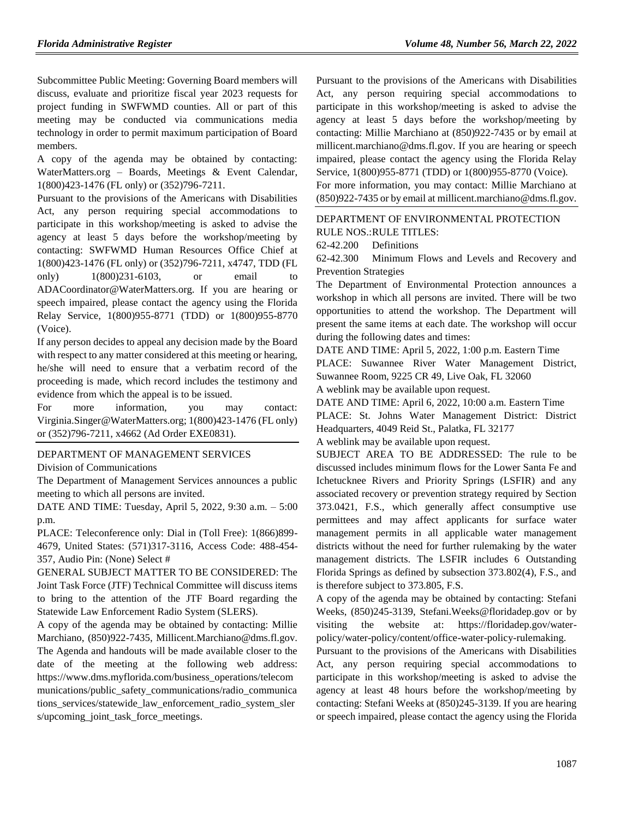Subcommittee Public Meeting: Governing Board members will discuss, evaluate and prioritize fiscal year 2023 requests for project funding in SWFWMD counties. All or part of this meeting may be conducted via communications media technology in order to permit maximum participation of Board members.

A copy of the agenda may be obtained by contacting: WaterMatters.org – Boards, Meetings & Event Calendar, 1(800)423-1476 (FL only) or (352)796-7211.

Pursuant to the provisions of the Americans with Disabilities Act, any person requiring special accommodations to participate in this workshop/meeting is asked to advise the agency at least 5 days before the workshop/meeting by contacting: SWFWMD Human Resources Office Chief at 1(800)423-1476 (FL only) or (352)796-7211, x4747, TDD (FL only) 1(800)231-6103, or email to ADACoordinator@WaterMatters.org. If you are hearing or speech impaired, please contact the agency using the Florida Relay Service, 1(800)955-8771 (TDD) or 1(800)955-8770 (Voice).

If any person decides to appeal any decision made by the Board with respect to any matter considered at this meeting or hearing, he/she will need to ensure that a verbatim record of the proceeding is made, which record includes the testimony and evidence from which the appeal is to be issued.

For more information, you may contact: Virginia.Singer@WaterMatters.org; 1(800)423-1476 (FL only) or (352)796-7211, x4662 (Ad Order EXE0831).

### [DEPARTMENT OF MANAGEMENT SERVICES](https://www.flrules.org/gateway/department.asp?id=60)

[Division of Communications](https://www.flrules.org/gateway/organization.asp?id=224)

The Department of Management Services announces a public meeting to which all persons are invited.

DATE AND TIME: Tuesday, April 5, 2022, 9:30 a.m. – 5:00 p.m.

PLACE: Teleconference only: Dial in (Toll Free): 1(866)899- 4679, United States: (571)317-3116, Access Code: 488-454- 357, Audio Pin: (None) Select #

GENERAL SUBJECT MATTER TO BE CONSIDERED: The Joint Task Force (JTF) Technical Committee will discuss items to bring to the attention of the JTF Board regarding the Statewide Law Enforcement Radio System (SLERS).

A copy of the agenda may be obtained by contacting: Millie Marchiano, (850)922-7435, Millicent.Marchiano@dms.fl.gov. The Agenda and handouts will be made available closer to the date of the meeting at the following web address: https://www.dms.myflorida.com/business\_operations/telecom munications/public\_safety\_communications/radio\_communica tions\_services/statewide\_law\_enforcement\_radio\_system\_sler s/upcoming\_joint\_task\_force\_meetings.

Pursuant to the provisions of the Americans with Disabilities Act, any person requiring special accommodations to participate in this workshop/meeting is asked to advise the agency at least 5 days before the workshop/meeting by contacting: Millie Marchiano at (850)922-7435 or by email at millicent.marchiano@dms.fl.gov. If you are hearing or speech impaired, please contact the agency using the Florida Relay Service, 1(800)955-8771 (TDD) or 1(800)955-8770 (Voice). For more information, you may contact: Millie Marchiano at (850)922-7435 or by email at millicent.marchiano@dms.fl.gov.

### [DEPARTMENT OF ENVIRONMENTAL PROTECTION](https://www.flrules.org/gateway/department.asp?id=62) RULE NOS.:RULE TITLES:

[62-42.200](https://www.flrules.org/gateway/ruleNo.asp?id=62-42.200) Definitions

[62-42.300](https://www.flrules.org/gateway/ruleNo.asp?id=62-42.300) Minimum Flows and Levels and Recovery and Prevention Strategies

The Department of Environmental Protection announces a workshop in which all persons are invited. There will be two opportunities to attend the workshop. The Department will present the same items at each date. The workshop will occur during the following dates and times:

DATE AND TIME: April 5, 2022, 1:00 p.m. Eastern Time

PLACE: Suwannee River Water Management District, Suwannee Room, 9225 CR 49, Live Oak, FL 32060

A weblink may be available upon request.

DATE AND TIME: April 6, 2022, 10:00 a.m. Eastern Time PLACE: St. Johns Water Management District: District Headquarters, 4049 Reid St., Palatka, FL 32177

A weblink may be available upon request.

SUBJECT AREA TO BE ADDRESSED: The rule to be discussed includes minimum flows for the Lower Santa Fe and Ichetucknee Rivers and Priority Springs (LSFIR) and any associated recovery or prevention strategy required by Section 373.0421, F.S., which generally affect consumptive use permittees and may affect applicants for surface water management permits in all applicable water management districts without the need for further rulemaking by the water management districts. The LSFIR includes 6 Outstanding Florida Springs as defined by subsection 373.802(4), F.S., and is therefore subject to 373.805, F.S.

A copy of the agenda may be obtained by contacting: Stefani Weeks, (850)245-3139, [Stefani.Weeks@floridadep.gov](mailto:Stefani.Weeks@floridadep.gov) or by visiting the website at: https://floridadep.gov/waterpolicy/water-policy/content/office-water-policy-rulemaking.

Pursuant to the provisions of the Americans with Disabilities Act, any person requiring special accommodations to participate in this workshop/meeting is asked to advise the agency at least 48 hours before the workshop/meeting by contacting: Stefani Weeks at (850)245-3139. If you are hearing or speech impaired, please contact the agency using the Florida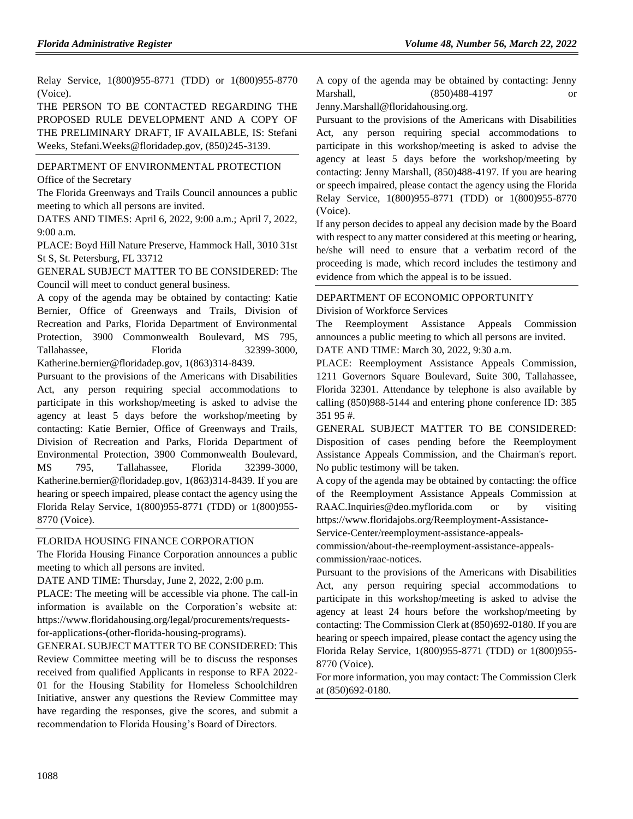Relay Service, 1(800)955-8771 (TDD) or 1(800)955-8770 (Voice).

THE PERSON TO BE CONTACTED REGARDING THE PROPOSED RULE DEVELOPMENT AND A COPY OF THE PRELIMINARY DRAFT, IF AVAILABLE, IS: Stefani Weeks, Stefani.Weeks@floridadep.gov, (850)245-3139.

[DEPARTMENT OF ENVIRONMENTAL PROTECTION](https://www.flrules.org/gateway/department.asp?id=62) [Office of the Secretary](https://www.flrules.org/gateway/organization.asp?id=294)

The Florida Greenways and Trails Council announces a public meeting to which all persons are invited.

DATES AND TIMES: April 6, 2022, 9:00 a.m.; April 7, 2022, 9:00 a.m.

PLACE: Boyd Hill Nature Preserve, Hammock Hall, 3010 31st St S, St. Petersburg, FL 33712

GENERAL SUBJECT MATTER TO BE CONSIDERED: The Council will meet to conduct general business.

A copy of the agenda may be obtained by contacting: Katie Bernier, Office of Greenways and Trails, Division of Recreation and Parks, Florida Department of Environmental Protection, 3900 Commonwealth Boulevard, MS 795, Tallahassee, Florida 32399-3000, Katherine.bernier@floridadep.gov, 1(863)314-8439.

Pursuant to the provisions of the Americans with Disabilities Act, any person requiring special accommodations to participate in this workshop/meeting is asked to advise the agency at least 5 days before the workshop/meeting by contacting: Katie Bernier, Office of Greenways and Trails, Division of Recreation and Parks, Florida Department of Environmental Protection, 3900 Commonwealth Boulevard, MS 795, Tallahassee, Florida 32399-3000, Katherine.bernier@floridadep.gov, 1(863)314-8439. If you are hearing or speech impaired, please contact the agency using the Florida Relay Service, 1(800)955-8771 (TDD) or 1(800)955- 8770 (Voice).

### [FLORIDA HOUSING FINANCE CORPORATION](https://www.flrules.org/gateway/department.asp?id=67)

The Florida Housing Finance Corporation announces a public meeting to which all persons are invited.

DATE AND TIME: Thursday, June 2, 2022, 2:00 p.m.

PLACE: The meeting will be accessible via phone. The call-in information is available on the Corporation's website at: https://www.floridahousing.org/legal/procurements/requestsfor-applications-(other-florida-housing-programs).

GENERAL SUBJECT MATTER TO BE CONSIDERED: This Review Committee meeting will be to discuss the responses received from qualified Applicants in response to RFA 2022- 01 for the Housing Stability for Homeless Schoolchildren Initiative, answer any questions the Review Committee may have regarding the responses, give the scores, and submit a recommendation to Florida Housing's Board of Directors.

A copy of the agenda may be obtained by contacting: Jenny Marshall, (850)488-4197 or

Jenny.Marshall@floridahousing.org.

Pursuant to the provisions of the Americans with Disabilities Act, any person requiring special accommodations to participate in this workshop/meeting is asked to advise the agency at least 5 days before the workshop/meeting by contacting: Jenny Marshall, (850)488-4197. If you are hearing or speech impaired, please contact the agency using the Florida Relay Service, 1(800)955-8771 (TDD) or 1(800)955-8770 (Voice).

If any person decides to appeal any decision made by the Board with respect to any matter considered at this meeting or hearing, he/she will need to ensure that a verbatim record of the proceeding is made, which record includes the testimony and evidence from which the appeal is to be issued.

# [DEPARTMENT OF ECONOMIC OPPORTUNITY](https://www.flrules.org/gateway/department.asp?id=73)

[Division of Workforce Services](https://www.flrules.org/gateway/organization.asp?id=1065)

The Reemployment Assistance Appeals Commission announces a public meeting to which all persons are invited.

DATE AND TIME: March 30, 2022, 9:30 a.m.

PLACE: Reemployment Assistance Appeals Commission, 1211 Governors Square Boulevard, Suite 300, Tallahassee, Florida 32301. Attendance by telephone is also available by calling (850)988-5144 and entering phone conference ID: 385 351 95 #.

GENERAL SUBJECT MATTER TO BE CONSIDERED: Disposition of cases pending before the Reemployment Assistance Appeals Commission, and the Chairman's report. No public testimony will be taken.

A copy of the agenda may be obtained by contacting: the office of the Reemployment Assistance Appeals Commission at RAAC.Inquiries@deo.myflorida.com or by visiting https://www.floridajobs.org/Reemployment-Assistance-

Service-Center/reemployment-assistance-appeals-

commission/about-the-reemployment-assistance-appealscommission/raac-notices.

Pursuant to the provisions of the Americans with Disabilities Act, any person requiring special accommodations to participate in this workshop/meeting is asked to advise the agency at least 24 hours before the workshop/meeting by contacting: The Commission Clerk at (850)692-0180. If you are hearing or speech impaired, please contact the agency using the Florida Relay Service, 1(800)955-8771 (TDD) or 1(800)955- 8770 (Voice).

For more information, you may contact: The Commission Clerk at (850)692-0180.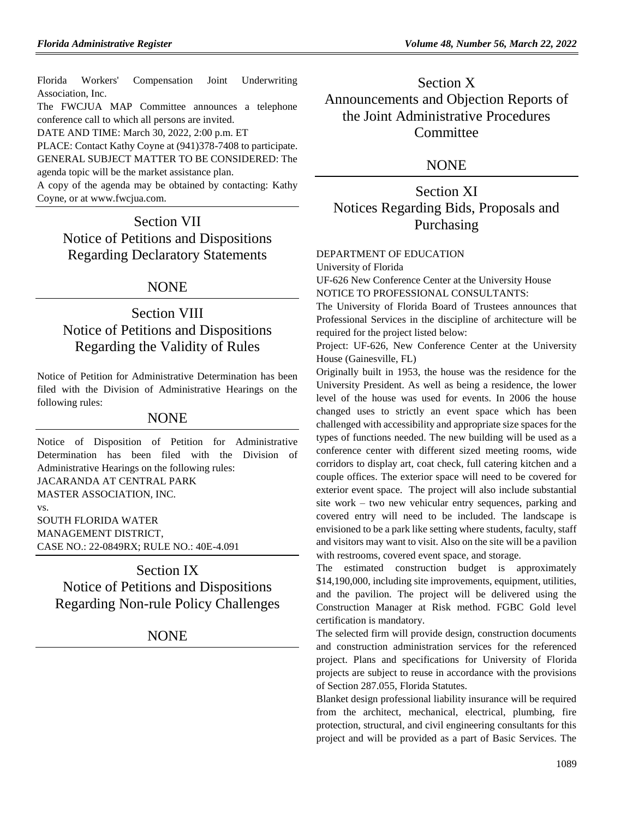[Florida Workers' Compensation Joint Underwriting](https://www.flrules.org/gateway/organization.asp?id=757)  [Association, Inc.](https://www.flrules.org/gateway/organization.asp?id=757)

The FWCJUA MAP Committee announces a telephone conference call to which all persons are invited.

DATE AND TIME: March 30, 2022, 2:00 p.m. ET

PLACE: Contact Kathy Coyne at (941)378-7408 to participate. GENERAL SUBJECT MATTER TO BE CONSIDERED: The agenda topic will be the market assistance plan.

A copy of the agenda may be obtained by contacting: Kathy Coyne, or at www.fwcjua.com.

Section VII Notice of Petitions and Dispositions Regarding Declaratory Statements

### NONE

## Section VIII Notice of Petitions and Dispositions Regarding the Validity of Rules

Notice of Petition for Administrative Determination has been filed with the Division of Administrative Hearings on the following rules:

### NONE

Notice of Disposition of Petition for Administrative Determination has been filed with the Division of Administrative Hearings on the following rules: JACARANDA AT CENTRAL PARK MASTER ASSOCIATION, INC. vs. SOUTH FLORIDA WATER MANAGEMENT DISTRICT, CASE NO.: 22-0849RX; RULE NO.: 40E-4.091

Section IX Notice of Petitions and Dispositions Regarding Non-rule Policy Challenges

NONE

Section X Announcements and Objection Reports of the Joint Administrative Procedures **Committee** 

### **NONE**

Section XI Notices Regarding Bids, Proposals and Purchasing

#### [DEPARTMENT OF EDUCATION](https://www.flrules.org/gateway/department.asp?id=6)

[University of Florida](https://www.flrules.org/gateway/organization.asp?id=198)

UF-626 New Conference Center at the University House NOTICE TO PROFESSIONAL CONSULTANTS:

The University of Florida Board of Trustees announces that Professional Services in the discipline of architecture will be required for the project listed below:

Project: UF-626, New Conference Center at the University House (Gainesville, FL)

Originally built in 1953, the house was the residence for the University President. As well as being a residence, the lower level of the house was used for events. In 2006 the house changed uses to strictly an event space which has been challenged with accessibility and appropriate size spaces for the types of functions needed. The new building will be used as a conference center with different sized meeting rooms, wide corridors to display art, coat check, full catering kitchen and a couple offices. The exterior space will need to be covered for exterior event space. The project will also include substantial site work – two new vehicular entry sequences, parking and covered entry will need to be included. The landscape is envisioned to be a park like setting where students, faculty, staff and visitors may want to visit. Also on the site will be a pavilion with restrooms, covered event space, and storage.

The estimated construction budget is approximately \$14,190,000, including site improvements, equipment, utilities, and the pavilion. The project will be delivered using the Construction Manager at Risk method. FGBC Gold level certification is mandatory.

The selected firm will provide design, construction documents and construction administration services for the referenced project. Plans and specifications for University of Florida projects are subject to reuse in accordance with the provisions of Section 287.055, Florida Statutes.

Blanket design professional liability insurance will be required from the architect, mechanical, electrical, plumbing, fire protection, structural, and civil engineering consultants for this project and will be provided as a part of Basic Services. The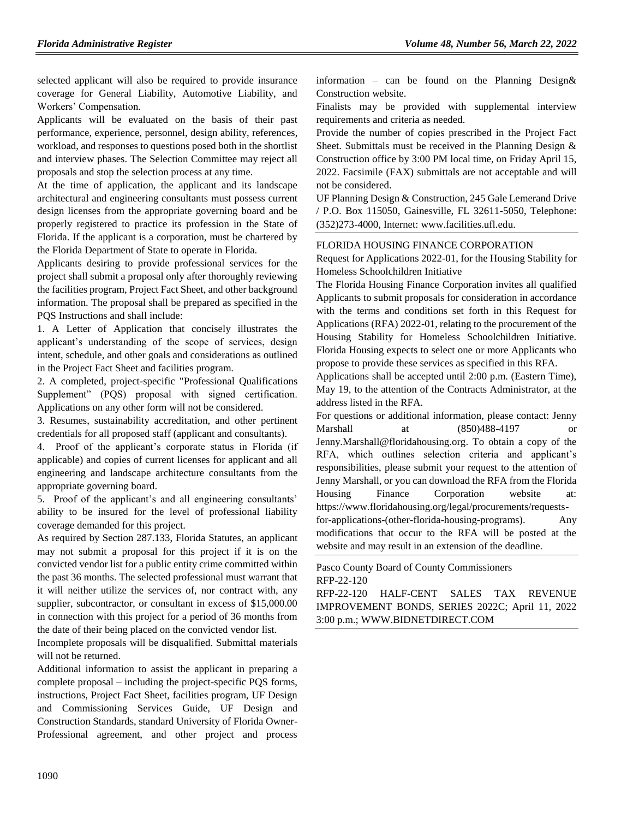selected applicant will also be required to provide insurance coverage for General Liability, Automotive Liability, and Workers' Compensation.

Applicants will be evaluated on the basis of their past performance, experience, personnel, design ability, references, workload, and responses to questions posed both in the shortlist and interview phases. The Selection Committee may reject all proposals and stop the selection process at any time.

At the time of application, the applicant and its landscape architectural and engineering consultants must possess current design licenses from the appropriate governing board and be properly registered to practice its profession in the State of Florida. If the applicant is a corporation, must be chartered by the Florida Department of State to operate in Florida.

Applicants desiring to provide professional services for the project shall submit a proposal only after thoroughly reviewing the facilities program, Project Fact Sheet, and other background information. The proposal shall be prepared as specified in the PQS Instructions and shall include:

1. A Letter of Application that concisely illustrates the applicant's understanding of the scope of services, design intent, schedule, and other goals and considerations as outlined in the Project Fact Sheet and facilities program.

2. A completed, project-specific "Professional Qualifications Supplement" (PQS) proposal with signed certification. Applications on any other form will not be considered.

3. Resumes, sustainability accreditation, and other pertinent credentials for all proposed staff (applicant and consultants).

4. Proof of the applicant's corporate status in Florida (if applicable) and copies of current licenses for applicant and all engineering and landscape architecture consultants from the appropriate governing board.

5. Proof of the applicant's and all engineering consultants' ability to be insured for the level of professional liability coverage demanded for this project.

As required by Section 287.133, Florida Statutes, an applicant may not submit a proposal for this project if it is on the convicted vendor list for a public entity crime committed within the past 36 months. The selected professional must warrant that it will neither utilize the services of, nor contract with, any supplier, subcontractor, or consultant in excess of \$15,000.00 in connection with this project for a period of 36 months from the date of their being placed on the convicted vendor list.

Incomplete proposals will be disqualified. Submittal materials will not be returned.

Additional information to assist the applicant in preparing a complete proposal – including the project-specific PQS forms, instructions, Project Fact Sheet, facilities program, UF Design and Commissioning Services Guide, UF Design and Construction Standards, standard University of Florida Owner-Professional agreement, and other project and process information – can be found on the Planning Design& Construction website.

Finalists may be provided with supplemental interview requirements and criteria as needed.

Provide the number of copies prescribed in the Project Fact Sheet. Submittals must be received in the Planning Design & Construction office by 3:00 PM local time, on Friday April 15, 2022. Facsimile (FAX) submittals are not acceptable and will not be considered.

UF Planning Design & Construction, 245 Gale Lemerand Drive / P.O. Box 115050, Gainesville, FL 32611-5050, Telephone: (352)273-4000, Internet: www.facilities.ufl.edu.

#### [FLORIDA HOUSING FINANCE CORPORATION](https://www.flrules.org/gateway/department.asp?id=67)

Request for Applications 2022-01, for the Housing Stability for Homeless Schoolchildren Initiative

The Florida Housing Finance Corporation invites all qualified Applicants to submit proposals for consideration in accordance with the terms and conditions set forth in this Request for Applications (RFA) 2022-01, relating to the procurement of the Housing Stability for Homeless Schoolchildren Initiative. Florida Housing expects to select one or more Applicants who propose to provide these services as specified in this RFA.

Applications shall be accepted until 2:00 p.m. (Eastern Time), May 19, to the attention of the Contracts Administrator, at the address listed in the RFA.

For questions or additional information, please contact: Jenny Marshall at (850)488-4197 [Jenny.Marshall@floridahousing.org.](mailto:Jenny.Marshall@floridahousing.org) To obtain a copy of the RFA, which outlines selection criteria and applicant's responsibilities, please submit your request to the attention of Jenny Marshall, or you can download the RFA from the Florida Housing Finance Corporation website at: [https://www.floridahousing.org/legal/procurements/requests](https://www.floridahousing.org/legal/procurements/requests-for-applications-(other-florida-housing-programs))[for-applications-\(other-florida-housing-programs\).](https://www.floridahousing.org/legal/procurements/requests-for-applications-(other-florida-housing-programs)) Any modifications that occur to the RFA will be posted at the website and may result in an extension of the deadline.

[Pasco County Board of County Commissioners](https://www.flrules.org/gateway/organization.asp?id=1352) RFP-22-120

RFP-22-120 HALF-CENT SALES TAX REVENUE IMPROVEMENT BONDS, SERIES 2022C; April 11, 2022 3:00 p.m.; [WWW.BIDNETDIRECT.COM](http://www.bidnetdirect.com/)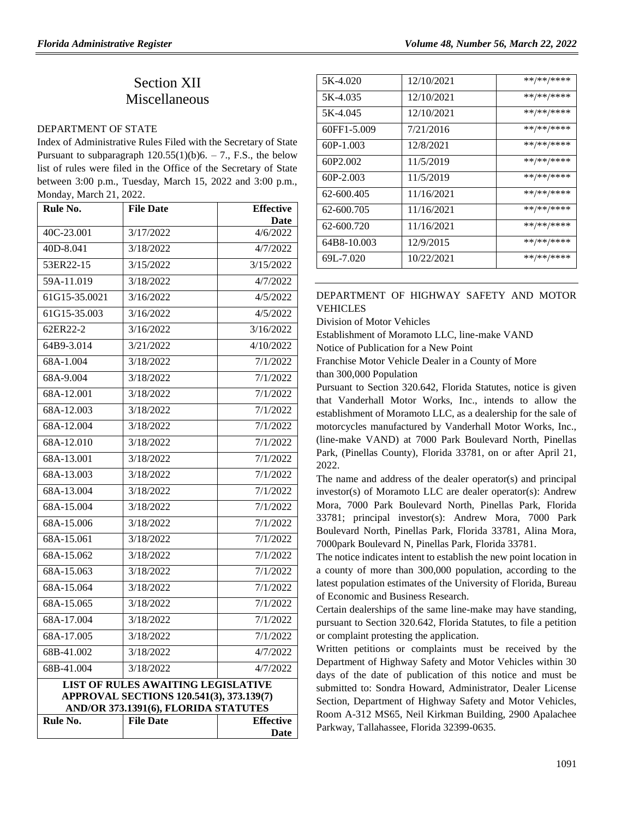## Section XII **Miscellaneous**

#### [DEPARTMENT OF STATE](https://www.flrules.org/gateway/department.asp?id=1)

Index of Administrative Rules Filed with the Secretary of State Pursuant to subparagraph  $120.55(1)(b)6. - 7$ ., F.S., the below list of rules were filed in the Office of the Secretary of State between 3:00 p.m., Tuesday, March 15, 2022 and 3:00 p.m., Monday, March 21, 2022.

| Rule No.      | <b>File Date</b>                                                                                                              | <b>Effective</b>     |
|---------------|-------------------------------------------------------------------------------------------------------------------------------|----------------------|
| 40C-23.001    | 3/17/2022                                                                                                                     | Date<br>4/6/2022     |
| 40D-8.041     | 3/18/2022                                                                                                                     | 4/7/2022             |
| 53ER22-15     | 3/15/2022                                                                                                                     | 3/15/2022            |
| 59A-11.019    | 3/18/2022                                                                                                                     | 4/7/2022             |
| 61G15-35.0021 | 3/16/2022                                                                                                                     | 4/5/2022             |
| 61G15-35.003  | 3/16/2022                                                                                                                     | 4/5/2022             |
| 62ER22-2      | 3/16/2022                                                                                                                     | 3/16/2022            |
| 64B9-3.014    | 3/21/2022                                                                                                                     | 4/10/2022            |
| 68A-1.004     | 3/18/2022                                                                                                                     | 7/1/2022             |
| 68A-9.004     | 3/18/2022                                                                                                                     | 7/1/2022             |
| 68A-12.001    | 3/18/2022                                                                                                                     | 7/1/2022             |
| 68A-12.003    | 3/18/2022                                                                                                                     | 7/1/2022             |
| 68A-12.004    | 3/18/2022                                                                                                                     | 7/1/2022             |
| 68A-12.010    | 3/18/2022                                                                                                                     | 7/1/2022             |
| 68A-13.001    | 3/18/2022                                                                                                                     | 7/1/2022             |
| 68A-13.003    |                                                                                                                               |                      |
| 68A-13.004    | 3/18/2022<br>3/18/2022                                                                                                        | 7/1/2022<br>7/1/2022 |
| 68A-15.004    | 3/18/2022                                                                                                                     | 7/1/2022             |
| 68A-15.006    |                                                                                                                               | 7/1/2022             |
|               | 3/18/2022                                                                                                                     |                      |
| 68A-15.061    | 3/18/2022                                                                                                                     | 7/1/2022             |
| 68A-15.062    | 3/18/2022                                                                                                                     | 7/1/2022             |
| 68A-15.063    | 3/18/2022                                                                                                                     | 7/1/2022             |
| 68A-15.064    | 3/18/2022                                                                                                                     | 7/1/2022             |
| 68A-15.065    | 3/18/2022                                                                                                                     | 7/1/2022             |
| $68A-17.004$  | 3/18/2022                                                                                                                     | 7/1/2022             |
| 68A-17.005    | 3/18/2022                                                                                                                     | 7/1/2022             |
| 68B-41.002    | 3/18/2022                                                                                                                     | 4/7/2022             |
| 68B-41.004    | 3/18/2022                                                                                                                     | 4/7/2022             |
|               | <b>LIST OF RULES AWAITING LEGISLATIVE</b><br>APPROVAL SECTIONS 120.541(3), 373.139(7)<br>AND/OR 373.1391(6), FLORIDA STATUTES |                      |
| Rule No.      | <b>File Date</b>                                                                                                              | <b>Effective</b>     |
|               |                                                                                                                               | Date                 |

| 5K-4.020    | 12/10/2021 | **/**/**** |
|-------------|------------|------------|
| 5K-4.035    | 12/10/2021 | **/**/**** |
| 5K-4.045    | 12/10/2021 | **/**/**** |
| 60FF1-5.009 | 7/21/2016  | **/**/**** |
| $60P-1.003$ | 12/8/2021  | **/**/**** |
| 60P2.002    | 11/5/2019  | **/**/**** |
| 60P-2.003   | 11/5/2019  | **/**/**** |
| 62-600.405  | 11/16/2021 | **/**/**** |
| 62-600.705  | 11/16/2021 | **/**/**** |
| 62-600.720  | 11/16/2021 | **/**/**** |
| 64B8-10.003 | 12/9/2015  | **/**/**** |
| 69L-7.020   | 10/22/2021 | **/**/**** |

### [DEPARTMENT OF HIGHWAY SAFETY AND MOTOR](https://www.flrules.org/gateway/department.asp?id=15)  [VEHICLES](https://www.flrules.org/gateway/department.asp?id=15)

[Division of Motor Vehicles](https://www.flrules.org/gateway/organization.asp?id=42)

Establishment of Moramoto LLC, line-make VAND

Notice of Publication for a New Point

Franchise Motor Vehicle Dealer in a County of More

than 300,000 Population

Pursuant to Section 320.642, Florida Statutes, notice is given that Vanderhall Motor Works, Inc., intends to allow the establishment of Moramoto LLC, as a dealership for the sale of motorcycles manufactured by Vanderhall Motor Works, Inc., (line-make VAND) at 7000 Park Boulevard North, Pinellas Park, (Pinellas County), Florida 33781, on or after April 21, 2022.

The name and address of the dealer operator(s) and principal investor(s) of Moramoto LLC are dealer operator(s): Andrew Mora, 7000 Park Boulevard North, Pinellas Park, Florida 33781; principal investor(s): Andrew Mora, 7000 Park Boulevard North, Pinellas Park, Florida 33781, Alina Mora, 7000park Boulevard N, Pinellas Park, Florida 33781.

The notice indicates intent to establish the new point location in a county of more than 300,000 population, according to the latest population estimates of the University of Florida, Bureau of Economic and Business Research.

Certain dealerships of the same line-make may have standing, pursuant to Section 320.642, Florida Statutes, to file a petition or complaint protesting the application.

Written petitions or complaints must be received by the Department of Highway Safety and Motor Vehicles within 30 days of the date of publication of this notice and must be submitted to: Sondra Howard, Administrator, Dealer License Section, Department of Highway Safety and Motor Vehicles, Room A-312 MS65, Neil Kirkman Building, 2900 Apalachee Parkway, Tallahassee, Florida 32399-0635.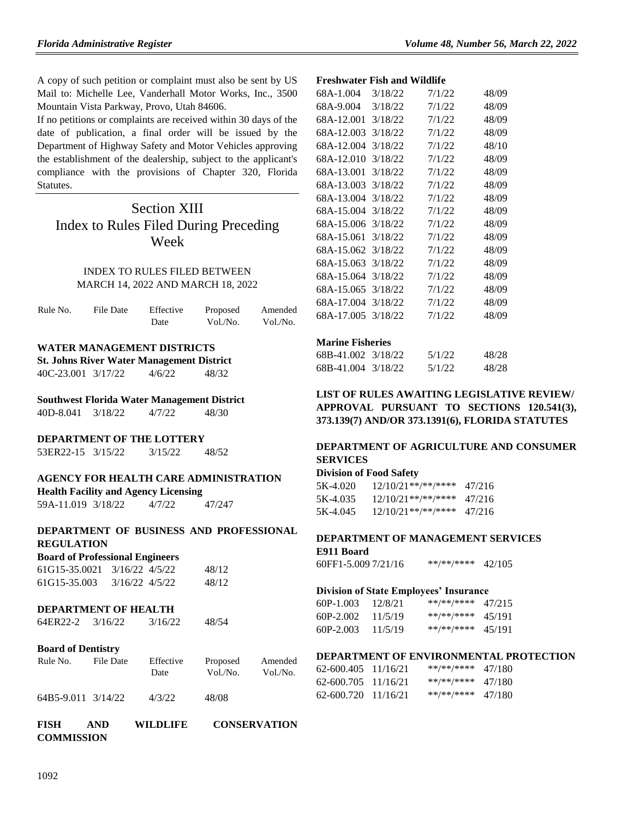A copy of such petition or complaint must also be sent by US Mail to: Michelle Lee, Vanderhall Motor Works, Inc., 3500 Mountain Vista Parkway, Provo, Utah 84606.

If no petitions or complaints are received within 30 days of the date of publication, a final order will be issued by the Department of Highway Safety and Motor Vehicles approving the establishment of the dealership, subject to the applicant's compliance with the provisions of Chapter 320, Florida Statutes.

## Section XIII Index to Rules Filed During Preceding Week

### INDEX TO RULES FILED BETWEEN MARCH 14, 2022 AND MARCH 18, 2022

| Rule No. | File Date | Effective | Proposed | Amended  |
|----------|-----------|-----------|----------|----------|
|          |           | Date      | Vol./No. | Vol./No. |

### **WATER MANAGEMENT DISTRICTS**

**St. Johns River Water Management District** 40C-23.001 3/17/22 4/6/22 48/32

### **Southwest Florida Water Management District**

40D-8.041 3/18/22 4/7/22 48/30

#### **DEPARTMENT OF THE LOTTERY**

| 53ER22-15 3/15/22 | 3/15/22 | 48/52 |
|-------------------|---------|-------|
|                   |         |       |

### **AGENCY FOR HEALTH CARE ADMINISTRATION**

**Health Facility and Agency Licensing**

59A-11.019 3/18/22 4/7/22 47/247

### **DEPARTMENT OF BUSINESS AND PROFESSIONAL REGULATION**

| <b>Board of Professional Engineers</b> |                |       |  |
|----------------------------------------|----------------|-------|--|
| 61G15-35.0021                          | 3/16/22 4/5/22 | 48/12 |  |
| 61G15-35.003                           | 3/16/22 4/5/22 | 48/12 |  |

#### **DEPARTMENT OF HEALTH**

|  | 64ER22-2 | 3/16/22 | 3/16/22 | 48/54 |
|--|----------|---------|---------|-------|
|--|----------|---------|---------|-------|

### **Board of Dentistry**

| Rule No. | File Date | Effective | Proposed | Amended  |
|----------|-----------|-----------|----------|----------|
|          |           | Date      | Vol./No. | Vol./No. |
|          |           |           |          |          |

```
64B5-9.011 3/14/22 4/3/22 48/08
```

| FISH | AND.       | <b>WILDLIFE</b> | <b>CONSERVATION</b> |
|------|------------|-----------------|---------------------|
|      | COMMISSION |                 |                     |

### **Freshwater Fish and Wildlife**

| 68A-1.004  | 3/18/22 | 7/1/22 | 48/09 |
|------------|---------|--------|-------|
| 68A-9.004  | 3/18/22 | 7/1/22 | 48/09 |
| 68A-12.001 | 3/18/22 | 7/1/22 | 48/09 |
| 68A-12.003 | 3/18/22 | 7/1/22 | 48/09 |
| 68A-12.004 | 3/18/22 | 7/1/22 | 48/10 |
| 68A-12.010 | 3/18/22 | 7/1/22 | 48/09 |
| 68A-13.001 | 3/18/22 | 7/1/22 | 48/09 |
| 68A-13.003 | 3/18/22 | 7/1/22 | 48/09 |
| 68A-13.004 | 3/18/22 | 7/1/22 | 48/09 |
| 68A-15.004 | 3/18/22 | 7/1/22 | 48/09 |
| 68A-15.006 | 3/18/22 | 7/1/22 | 48/09 |
| 68A-15.061 | 3/18/22 | 7/1/22 | 48/09 |
| 68A-15.062 | 3/18/22 | 7/1/22 | 48/09 |
| 68A-15.063 | 3/18/22 | 7/1/22 | 48/09 |
| 68A-15.064 | 3/18/22 | 7/1/22 | 48/09 |
| 68A-15.065 | 3/18/22 | 7/1/22 | 48/09 |
| 68A-17.004 | 3/18/22 | 7/1/22 | 48/09 |
| 68A-17.005 | 3/18/22 | 7/1/22 | 48/09 |
|            |         |        |       |

### **Marine Fisheries**

| 68B-41.002 3/18/22 | 5/1/22 | 48/28 |
|--------------------|--------|-------|
| 68B-41.004 3/18/22 | 5/1/22 | 48/28 |

### **LIST OF RULES AWAITING LEGISLATIVE REVIEW/ APPROVAL PURSUANT TO SECTIONS 120.541(3), 373.139(7) AND/OR 373.1391(6), FLORIDA STATUTES**

### **DEPARTMENT OF AGRICULTURE AND CONSUMER SERVICES**

### **Division of Food Safety**

| 5K-4.020 | $12/10/21$ **/**/**** | 47/216 |
|----------|-----------------------|--------|
| 5K-4.035 | $12/10/21$ **/**/**** | 47/216 |
| 5K-4.045 | $12/10/21**$ /**/**** | 47/216 |

## **DEPARTMENT OF MANAGEMENT SERVICES**

## **E911 Board**

| 60FF1-5.009 7/21/16 | **/**/**** | 42/105 |
|---------------------|------------|--------|
|---------------------|------------|--------|

#### **Division of State Employees' Insurance**

| 60P-1.003 | 12/8/21 | **/**/**** | 47/215 |
|-----------|---------|------------|--------|
| 60P-2.002 | 11/5/19 | **/**/**** | 45/191 |
| 60P-2.003 | 11/5/19 | **/**/**** | 45/191 |

#### **DEPARTMENT OF ENVIRONMENTAL PROTECTION**

| 62-600.405          | 11/16/21 | **/**/**** | 47/180 |
|---------------------|----------|------------|--------|
| 62-600.705 11/16/21 |          | **/**/**** | 47/180 |
| 62-600.720          | 11/16/21 | **/**/**** | 47/180 |